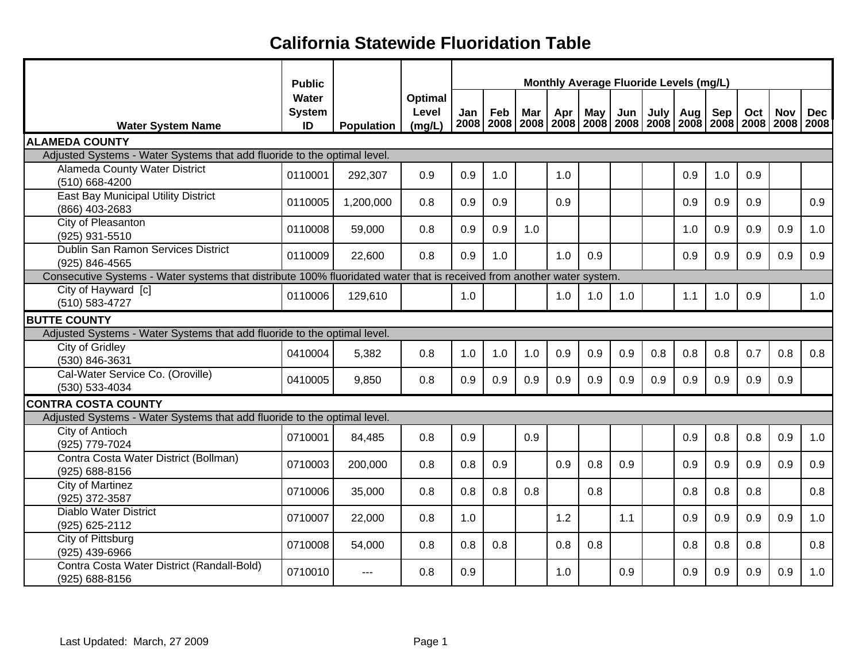|                                                                                                                        | <b>Public</b>                | Monthly Average Fluoride Levels (mg/L) |                            |     |     |                                  |     |     |                                                              |      |     |     |     |            |            |
|------------------------------------------------------------------------------------------------------------------------|------------------------------|----------------------------------------|----------------------------|-----|-----|----------------------------------|-----|-----|--------------------------------------------------------------|------|-----|-----|-----|------------|------------|
| <b>Water System Name</b>                                                                                               | Water<br><b>System</b><br>ID | Population                             | Optimal<br>Level<br>(mg/L) | Jan | Feb | Mar<br>2008   2008   2008   2008 | Apr | May | Jun<br>2008   2008   2008   2008   2008   2008   2008   2008 | July | Aug | Sep | Oct | <b>Nov</b> | <b>Dec</b> |
| <b>ALAMEDA COUNTY</b>                                                                                                  |                              |                                        |                            |     |     |                                  |     |     |                                                              |      |     |     |     |            |            |
| Adjusted Systems - Water Systems that add fluoride to the optimal level.                                               |                              |                                        |                            |     |     |                                  |     |     |                                                              |      |     |     |     |            |            |
| Alameda County Water District<br>(510) 668-4200                                                                        | 0110001                      | 292,307                                | 0.9                        | 0.9 | 1.0 |                                  | 1.0 |     |                                                              |      | 0.9 | 1.0 | 0.9 |            |            |
| East Bay Municipal Utility District<br>(866) 403-2683                                                                  | 0110005                      | 1,200,000                              | 0.8                        | 0.9 | 0.9 |                                  | 0.9 |     |                                                              |      | 0.9 | 0.9 | 0.9 |            | 0.9        |
| City of Pleasanton<br>(925) 931-5510                                                                                   | 0110008                      | 59,000                                 | 0.8                        | 0.9 | 0.9 | 1.0                              |     |     |                                                              |      | 1.0 | 0.9 | 0.9 | 0.9        | 1.0        |
| Dublin San Ramon Services District<br>(925) 846-4565                                                                   | 0110009                      | 22,600                                 | 0.8                        | 0.9 | 1.0 |                                  | 1.0 | 0.9 |                                                              |      | 0.9 | 0.9 | 0.9 | 0.9        | 0.9        |
| Consecutive Systems - Water systems that distribute 100% fluoridated water that is received from another water system. |                              |                                        |                            |     |     |                                  |     |     |                                                              |      |     |     |     |            |            |
| City of Hayward [c]<br>(510) 583-4727                                                                                  | 0110006                      | 129,610                                |                            | 1.0 |     |                                  | 1.0 | 1.0 | 1.0                                                          |      | 1.1 | 1.0 | 0.9 |            | 1.0        |
| <b>BUTTE COUNTY</b>                                                                                                    |                              |                                        |                            |     |     |                                  |     |     |                                                              |      |     |     |     |            |            |
| Adjusted Systems - Water Systems that add fluoride to the optimal level.                                               |                              |                                        |                            |     |     |                                  |     |     |                                                              |      |     |     |     |            |            |
| City of Gridley<br>(530) 846-3631                                                                                      | 0410004                      | 5,382                                  | 0.8                        | 1.0 | 1.0 | 1.0                              | 0.9 | 0.9 | 0.9                                                          | 0.8  | 0.8 | 0.8 | 0.7 | 0.8        | 0.8        |
| Cal-Water Service Co. (Oroville)<br>(530) 533-4034                                                                     | 0410005                      | 9,850                                  | 0.8                        | 0.9 | 0.9 | 0.9                              | 0.9 | 0.9 | 0.9                                                          | 0.9  | 0.9 | 0.9 | 0.9 | 0.9        |            |
| <b>CONTRA COSTA COUNTY</b>                                                                                             |                              |                                        |                            |     |     |                                  |     |     |                                                              |      |     |     |     |            |            |
| Adjusted Systems - Water Systems that add fluoride to the optimal level.                                               |                              |                                        |                            |     |     |                                  |     |     |                                                              |      |     |     |     |            |            |
| <b>City of Antioch</b><br>(925) 779-7024                                                                               | 0710001                      | 84,485                                 | 0.8                        | 0.9 |     | 0.9                              |     |     |                                                              |      | 0.9 | 0.8 | 0.8 | 0.9        | 1.0        |
| Contra Costa Water District (Bollman)<br>(925) 688-8156                                                                | 0710003                      | 200,000                                | 0.8                        | 0.8 | 0.9 |                                  | 0.9 | 0.8 | 0.9                                                          |      | 0.9 | 0.9 | 0.9 | 0.9        | 0.9        |
| City of Martinez<br>(925) 372-3587                                                                                     | 0710006                      | 35,000                                 | 0.8                        | 0.8 | 0.8 | 0.8                              |     | 0.8 |                                                              |      | 0.8 | 0.8 | 0.8 |            | 0.8        |
| <b>Diablo Water District</b><br>(925) 625-2112                                                                         | 0710007                      | 22,000                                 | 0.8                        | 1.0 |     |                                  | 1.2 |     | 1.1                                                          |      | 0.9 | 0.9 | 0.9 | 0.9        | 1.0        |
| <b>City of Pittsburg</b><br>(925) 439-6966                                                                             | 0710008                      | 54,000                                 | 0.8                        | 0.8 | 0.8 |                                  | 0.8 | 0.8 |                                                              |      | 0.8 | 0.8 | 0.8 |            | 0.8        |
| Contra Costa Water District (Randall-Bold)<br>(925) 688-8156                                                           | 0710010                      | $---$                                  | 0.8                        | 0.9 |     |                                  | 1.0 |     | 0.9                                                          |      | 0.9 | 0.9 | 0.9 | 0.9        | 1.0        |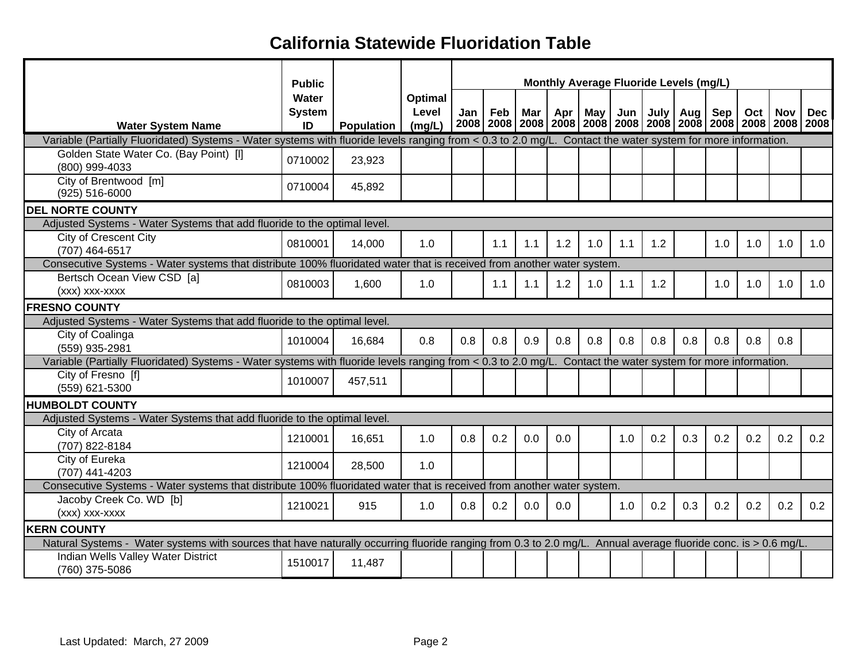|                                                                                                                                                                | <b>Monthly Average Fluoride Levels (mg/L)</b><br><b>Public</b> |                   |                            |     |     |     |     |                                                                                            |     |     |            |     |     |     |            |
|----------------------------------------------------------------------------------------------------------------------------------------------------------------|----------------------------------------------------------------|-------------------|----------------------------|-----|-----|-----|-----|--------------------------------------------------------------------------------------------|-----|-----|------------|-----|-----|-----|------------|
| <b>Water System Name</b>                                                                                                                                       | Water<br><b>System</b><br>ID                                   | <b>Population</b> | Optimal<br>Level<br>(mq/L) | Jan | Feb | Mar | Apr | May I<br>2008   2008   2008   2008   2008   2008   2008   2008   2008   2008   2008   2008 | Jun |     | July   Aug | Sep | Oct | Nov | <b>Dec</b> |
| Variable (Partially Fluoridated) Systems - Water systems with fluoride levels ranging from < 0.3 to 2.0 mg/L. Contact the water system for more information.   |                                                                |                   |                            |     |     |     |     |                                                                                            |     |     |            |     |     |     |            |
| Golden State Water Co. (Bay Point) [I]<br>(800) 999-4033                                                                                                       | 0710002                                                        | 23,923            |                            |     |     |     |     |                                                                                            |     |     |            |     |     |     |            |
| City of Brentwood [m]<br>$(925) 516 - 6000$                                                                                                                    | 0710004                                                        | 45,892            |                            |     |     |     |     |                                                                                            |     |     |            |     |     |     |            |
| <b>DEL NORTE COUNTY</b>                                                                                                                                        |                                                                |                   |                            |     |     |     |     |                                                                                            |     |     |            |     |     |     |            |
| Adjusted Systems - Water Systems that add fluoride to the optimal level.                                                                                       |                                                                |                   |                            |     |     |     |     |                                                                                            |     |     |            |     |     |     |            |
| City of Crescent City<br>(707) 464-6517                                                                                                                        | 0810001                                                        | 14,000            | 1.0                        |     | 1.1 | 1.1 | 1.2 | 1.0                                                                                        | 1.1 | 1.2 |            | 1.0 | 1.0 | 1.0 | 1.0        |
| Consecutive Systems - Water systems that distribute 100% fluoridated water that is received from another water system.                                         |                                                                |                   |                            |     |     |     |     |                                                                                            |     |     |            |     |     |     |            |
| Bertsch Ocean View CSD [a]<br>(xxx) xxx-xxxx                                                                                                                   | 0810003                                                        | 1,600             | 1.0                        |     | 1.1 | 1.1 | 1.2 | 1.0                                                                                        | 1.1 | 1.2 |            | 1.0 | 1.0 | 1.0 | 1.0        |
| <b>FRESNO COUNTY</b>                                                                                                                                           |                                                                |                   |                            |     |     |     |     |                                                                                            |     |     |            |     |     |     |            |
| Adjusted Systems - Water Systems that add fluoride to the optimal level.                                                                                       |                                                                |                   |                            |     |     |     |     |                                                                                            |     |     |            |     |     |     |            |
| City of Coalinga<br>(559) 935-2981                                                                                                                             | 1010004                                                        | 16,684            | 0.8                        | 0.8 | 0.8 | 0.9 | 0.8 | 0.8                                                                                        | 0.8 | 0.8 | 0.8        | 0.8 | 0.8 | 0.8 |            |
| Variable (Partially Fluoridated) Systems - Water systems with fluoride levels ranging from < 0.3 to 2.0 mg/L. Contact the water system for more information.   |                                                                |                   |                            |     |     |     |     |                                                                                            |     |     |            |     |     |     |            |
| City of Fresno [f]<br>(559) 621-5300                                                                                                                           | 1010007                                                        | 457,511           |                            |     |     |     |     |                                                                                            |     |     |            |     |     |     |            |
| <b>HUMBOLDT COUNTY</b>                                                                                                                                         |                                                                |                   |                            |     |     |     |     |                                                                                            |     |     |            |     |     |     |            |
| Adjusted Systems - Water Systems that add fluoride to the optimal level.                                                                                       |                                                                |                   |                            |     |     |     |     |                                                                                            |     |     |            |     |     |     |            |
| City of Arcata<br>(707) 822-8184                                                                                                                               | 1210001                                                        | 16,651            | 1.0                        | 0.8 | 0.2 | 0.0 | 0.0 |                                                                                            | 1.0 | 0.2 | 0.3        | 0.2 | 0.2 | 0.2 | 0.2        |
| City of Eureka<br>(707) 441-4203                                                                                                                               | 1210004                                                        | 28,500            | 1.0                        |     |     |     |     |                                                                                            |     |     |            |     |     |     |            |
| Consecutive Systems - Water systems that distribute 100% fluoridated water that is received from another water system.                                         |                                                                |                   |                            |     |     |     |     |                                                                                            |     |     |            |     |     |     |            |
| Jacoby Creek Co. WD [b]<br>(xxx) xxx-xxxx                                                                                                                      | 1210021                                                        | 915               | 1.0                        | 0.8 | 0.2 | 0.0 | 0.0 |                                                                                            | 1.0 | 0.2 | 0.3        | 0.2 | 0.2 | 0.2 | 0.2        |
| <b>KERN COUNTY</b>                                                                                                                                             |                                                                |                   |                            |     |     |     |     |                                                                                            |     |     |            |     |     |     |            |
| Natural Systems - Water systems with sources that have naturally occurring fluoride ranging from 0.3 to 2.0 mg/L. Annual average fluoride conc. is > 0.6 mg/L. |                                                                |                   |                            |     |     |     |     |                                                                                            |     |     |            |     |     |     |            |
| Indian Wells Valley Water District<br>(760) 375-5086                                                                                                           | 1510017                                                        | 11,487            |                            |     |     |     |     |                                                                                            |     |     |            |     |     |     |            |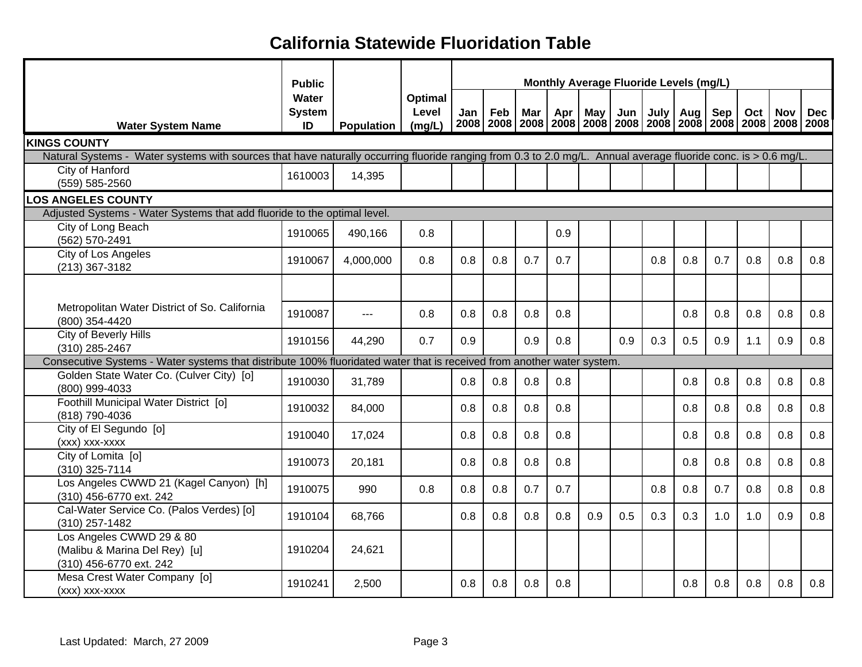|                                                                                                                                                                | <b>Public</b>                |                     |                                   |     |     |            |     |            |     | Monthly Average Fluoride Levels (mg/L)                                                    |     |     |     |            |            |
|----------------------------------------------------------------------------------------------------------------------------------------------------------------|------------------------------|---------------------|-----------------------------------|-----|-----|------------|-----|------------|-----|-------------------------------------------------------------------------------------------|-----|-----|-----|------------|------------|
| <b>Water System Name</b>                                                                                                                                       | Water<br><b>System</b><br>ID | <b>Population</b>   | <b>Optimal</b><br>Level<br>(mg/L) | Jan | Feb | <b>Mar</b> | Apr | <b>May</b> | Jun | July<br>2008   2008   2008   2008   2008   2008   2008   2008   2008   2008   2008   2008 | Aug | Sep | Oct | <b>Nov</b> | <b>Dec</b> |
| <b>KINGS COUNTY</b>                                                                                                                                            |                              |                     |                                   |     |     |            |     |            |     |                                                                                           |     |     |     |            |            |
| Natural Systems - Water systems with sources that have naturally occurring fluoride ranging from 0.3 to 2.0 mg/L. Annual average fluoride conc. is > 0.6 mg/L. |                              |                     |                                   |     |     |            |     |            |     |                                                                                           |     |     |     |            |            |
| City of Hanford                                                                                                                                                | 1610003                      | 14,395              |                                   |     |     |            |     |            |     |                                                                                           |     |     |     |            |            |
| (559) 585-2560                                                                                                                                                 |                              |                     |                                   |     |     |            |     |            |     |                                                                                           |     |     |     |            |            |
| <b>LOS ANGELES COUNTY</b>                                                                                                                                      |                              |                     |                                   |     |     |            |     |            |     |                                                                                           |     |     |     |            |            |
| Adjusted Systems - Water Systems that add fluoride to the optimal level.                                                                                       |                              |                     |                                   |     |     |            |     |            |     |                                                                                           |     |     |     |            |            |
| City of Long Beach<br>(562) 570-2491                                                                                                                           | 1910065                      | 490,166             | 0.8                               |     |     |            | 0.9 |            |     |                                                                                           |     |     |     |            |            |
| City of Los Angeles                                                                                                                                            |                              |                     |                                   |     |     |            |     |            |     |                                                                                           |     |     |     |            |            |
| (213) 367-3182                                                                                                                                                 | 1910067                      | 4,000,000           | 0.8                               | 0.8 | 0.8 | 0.7        | 0.7 |            |     | 0.8                                                                                       | 0.8 | 0.7 | 0.8 | 0.8        | 0.8        |
|                                                                                                                                                                |                              |                     |                                   |     |     |            |     |            |     |                                                                                           |     |     |     |            |            |
|                                                                                                                                                                |                              |                     |                                   |     |     |            |     |            |     |                                                                                           |     |     |     |            |            |
| Metropolitan Water District of So. California                                                                                                                  | 1910087                      | $\qquad \qquad - -$ | 0.8                               | 0.8 | 0.8 | 0.8        | 0.8 |            |     |                                                                                           | 0.8 | 0.8 | 0.8 | 0.8        | 0.8        |
| (800) 354-4420                                                                                                                                                 |                              |                     |                                   |     |     |            |     |            |     |                                                                                           |     |     |     |            |            |
| City of Beverly Hills                                                                                                                                          | 1910156                      | 44,290              | 0.7                               | 0.9 |     | 0.9        | 0.8 |            | 0.9 | 0.3                                                                                       | 0.5 | 0.9 | 1.1 | 0.9        | 0.8        |
| (310) 285-2467                                                                                                                                                 |                              |                     |                                   |     |     |            |     |            |     |                                                                                           |     |     |     |            |            |
| Consecutive Systems - Water systems that distribute 100% fluoridated water that is received from another water system.                                         |                              |                     |                                   |     |     |            |     |            |     |                                                                                           |     |     |     |            |            |
| Golden State Water Co. (Culver City) [o]<br>(800) 999-4033                                                                                                     | 1910030                      | 31,789              |                                   | 0.8 | 0.8 | 0.8        | 0.8 |            |     |                                                                                           | 0.8 | 0.8 | 0.8 | 0.8        | 0.8        |
| Foothill Municipal Water District [0]                                                                                                                          |                              |                     |                                   |     |     |            |     |            |     |                                                                                           |     |     |     |            |            |
| (818) 790-4036                                                                                                                                                 | 1910032                      | 84,000              |                                   | 0.8 | 0.8 | 0.8        | 0.8 |            |     |                                                                                           | 0.8 | 0.8 | 0.8 | 0.8        | 0.8        |
| City of El Segundo [o]                                                                                                                                         |                              |                     |                                   |     |     |            |     |            |     |                                                                                           |     |     |     |            |            |
| (xxx) xxx-xxxx                                                                                                                                                 | 1910040                      | 17,024              |                                   | 0.8 | 0.8 | 0.8        | 0.8 |            |     |                                                                                           | 0.8 | 0.8 | 0.8 | 0.8        | 0.8        |
| City of Lomita [o]                                                                                                                                             | 1910073                      | 20,181              |                                   | 0.8 | 0.8 | 0.8        | 0.8 |            |     |                                                                                           | 0.8 | 0.8 | 0.8 | 0.8        | 0.8        |
| (310) 325-7114                                                                                                                                                 |                              |                     |                                   |     |     |            |     |            |     |                                                                                           |     |     |     |            |            |
| Los Angeles CWWD 21 (Kagel Canyon) [h]                                                                                                                         | 1910075                      | 990                 | 0.8                               | 0.8 | 0.8 | 0.7        | 0.7 |            |     | 0.8                                                                                       | 0.8 | 0.7 | 0.8 | 0.8        | 0.8        |
| (310) 456-6770 ext. 242                                                                                                                                        |                              |                     |                                   |     |     |            |     |            |     |                                                                                           |     |     |     |            |            |
| Cal-Water Service Co. (Palos Verdes) [o]<br>(310) 257-1482                                                                                                     | 1910104                      | 68,766              |                                   | 0.8 | 0.8 | 0.8        | 0.8 | 0.9        | 0.5 | 0.3                                                                                       | 0.3 | 1.0 | 1.0 | 0.9        | 0.8        |
| Los Angeles CWWD 29 & 80                                                                                                                                       |                              |                     |                                   |     |     |            |     |            |     |                                                                                           |     |     |     |            |            |
| (Malibu & Marina Del Rey) [u]                                                                                                                                  | 1910204                      | 24,621              |                                   |     |     |            |     |            |     |                                                                                           |     |     |     |            |            |
| (310) 456-6770 ext. 242                                                                                                                                        |                              |                     |                                   |     |     |            |     |            |     |                                                                                           |     |     |     |            |            |
| Mesa Crest Water Company [o]                                                                                                                                   | 1910241                      | 2,500               |                                   | 0.8 | 0.8 | 0.8        | 0.8 |            |     |                                                                                           | 0.8 | 0.8 | 0.8 | 0.8        | 0.8        |
| (xxx) xxx-xxxx                                                                                                                                                 |                              |                     |                                   |     |     |            |     |            |     |                                                                                           |     |     |     |            |            |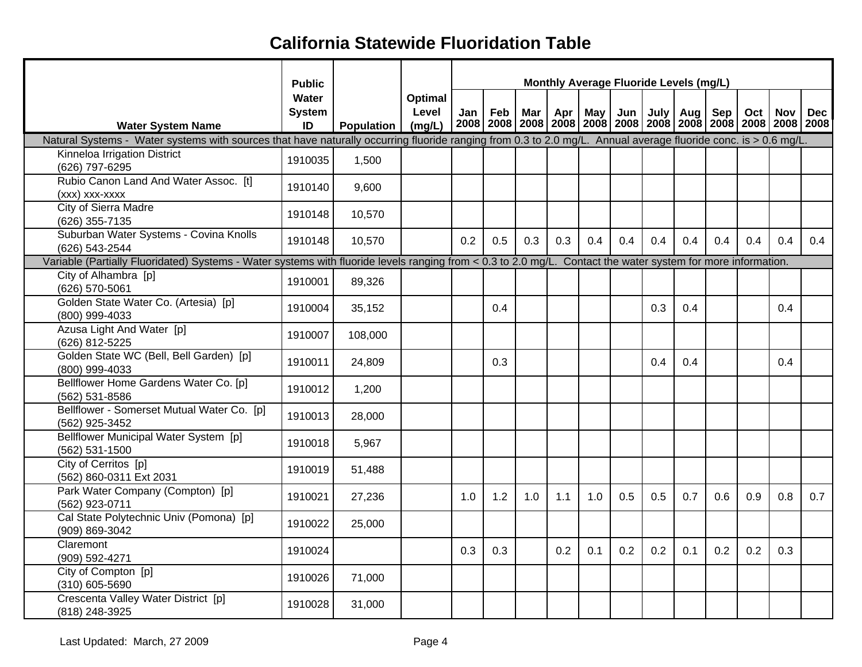|                                                                                                                                                                | <b>Public</b>                |                   |                            |     |     |     | Monthly Average Fluoride Levels (mg/L)                                            |     |                 |     |            |     |     |            |            |
|----------------------------------------------------------------------------------------------------------------------------------------------------------------|------------------------------|-------------------|----------------------------|-----|-----|-----|-----------------------------------------------------------------------------------|-----|-----------------|-----|------------|-----|-----|------------|------------|
| <b>Water System Name</b>                                                                                                                                       | Water<br><b>System</b><br>ID | <b>Population</b> | Optimal<br>Level<br>(mg/L) | Jan | Feb | Mar | 2008   2008   2008   2008   2008   2008   2008   2008   2008   2008   2008   2008 |     | Apr   May   Jun |     | July   Aug | Sep | Oct | <b>Nov</b> | <b>Dec</b> |
| Natural Systems - Water systems with sources that have naturally occurring fluoride ranging from 0.3 to 2.0 mg/L. Annual average fluoride conc. is > 0.6 mg/L. |                              |                   |                            |     |     |     |                                                                                   |     |                 |     |            |     |     |            |            |
| Kinneloa Irrigation District<br>(626) 797-6295                                                                                                                 | 1910035                      | 1,500             |                            |     |     |     |                                                                                   |     |                 |     |            |     |     |            |            |
| Rubio Canon Land And Water Assoc. [t]<br>(xxx) xxx-xxxx                                                                                                        | 1910140                      | 9,600             |                            |     |     |     |                                                                                   |     |                 |     |            |     |     |            |            |
| <b>City of Sierra Madre</b><br>(626) 355-7135                                                                                                                  | 1910148                      | 10,570            |                            |     |     |     |                                                                                   |     |                 |     |            |     |     |            |            |
| Suburban Water Systems - Covina Knolls<br>(626) 543-2544                                                                                                       | 1910148                      | 10,570            |                            | 0.2 | 0.5 | 0.3 | 0.3                                                                               | 0.4 | 0.4             | 0.4 | 0.4        | 0.4 | 0.4 | 0.4        | 0.4        |
| Variable (Partially Fluoridated) Systems - Water systems with fluoride levels ranging from < 0.3 to 2.0 mg/L. Contact the water system for more information.   |                              |                   |                            |     |     |     |                                                                                   |     |                 |     |            |     |     |            |            |
| City of Alhambra [p]<br>(626) 570-5061                                                                                                                         | 1910001                      | 89,326            |                            |     |     |     |                                                                                   |     |                 |     |            |     |     |            |            |
| Golden State Water Co. (Artesia) [p]<br>(800) 999-4033                                                                                                         | 1910004                      | 35,152            |                            |     | 0.4 |     |                                                                                   |     |                 | 0.3 | 0.4        |     |     | 0.4        |            |
| Azusa Light And Water [p]<br>(626) 812-5225                                                                                                                    | 1910007                      | 108,000           |                            |     |     |     |                                                                                   |     |                 |     |            |     |     |            |            |
| Golden State WC (Bell, Bell Garden) [p]<br>(800) 999-4033                                                                                                      | 1910011                      | 24,809            |                            |     | 0.3 |     |                                                                                   |     |                 | 0.4 | 0.4        |     |     | 0.4        |            |
| Bellflower Home Gardens Water Co. [p]<br>(562) 531-8586                                                                                                        | 1910012                      | 1,200             |                            |     |     |     |                                                                                   |     |                 |     |            |     |     |            |            |
| Bellflower - Somerset Mutual Water Co. [p]<br>(562) 925-3452                                                                                                   | 1910013                      | 28,000            |                            |     |     |     |                                                                                   |     |                 |     |            |     |     |            |            |
| Bellflower Municipal Water System [p]<br>(562) 531-1500                                                                                                        | 1910018                      | 5,967             |                            |     |     |     |                                                                                   |     |                 |     |            |     |     |            |            |
| City of Cerritos [p]<br>(562) 860-0311 Ext 2031                                                                                                                | 1910019                      | 51,488            |                            |     |     |     |                                                                                   |     |                 |     |            |     |     |            |            |
| Park Water Company (Compton) [p]<br>(562) 923-0711                                                                                                             | 1910021                      | 27,236            |                            | 1.0 | 1.2 | 1.0 | 1.1                                                                               | 1.0 | 0.5             | 0.5 | 0.7        | 0.6 | 0.9 | 0.8        | 0.7        |
| Cal State Polytechnic Univ (Pomona) [p]<br>(909) 869-3042                                                                                                      | 1910022                      | 25,000            |                            |     |     |     |                                                                                   |     |                 |     |            |     |     |            |            |
| Claremont<br>(909) 592-4271                                                                                                                                    | 1910024                      |                   |                            | 0.3 | 0.3 |     | 0.2                                                                               | 0.1 | 0.2             | 0.2 | 0.1        | 0.2 | 0.2 | 0.3        |            |
| City of Compton [p]<br>(310) 605-5690                                                                                                                          | 1910026                      | 71,000            |                            |     |     |     |                                                                                   |     |                 |     |            |     |     |            |            |
| Crescenta Valley Water District [p]<br>(818) 248-3925                                                                                                          | 1910028                      | 31,000            |                            |     |     |     |                                                                                   |     |                 |     |            |     |     |            |            |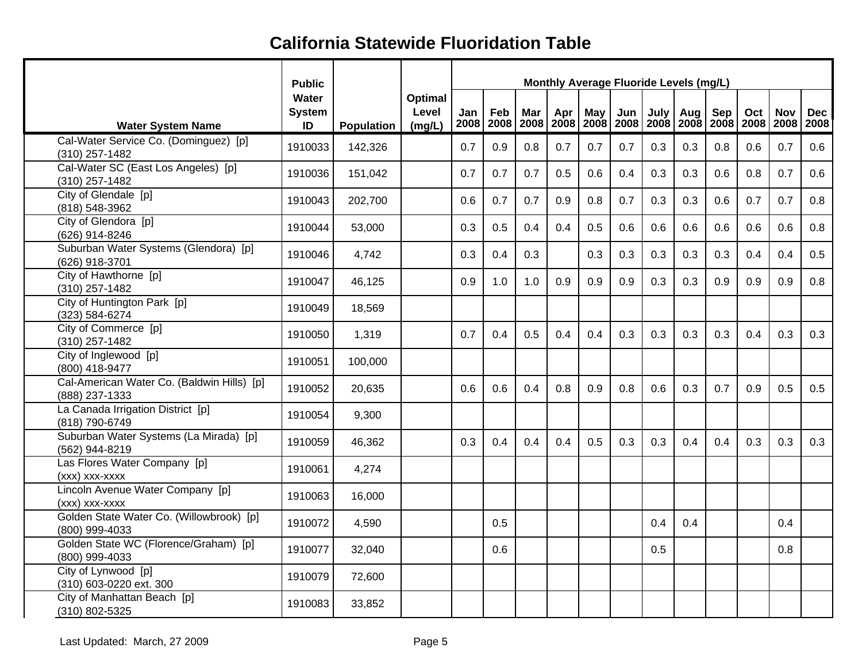|                                                              | <b>Public</b>                |            |                            |     |                       |     |     |     | Monthly Average Fluoride Levels (mg/L)                              |      |     |     |     |            |            |
|--------------------------------------------------------------|------------------------------|------------|----------------------------|-----|-----------------------|-----|-----|-----|---------------------------------------------------------------------|------|-----|-----|-----|------------|------------|
| <b>Water System Name</b>                                     | Water<br><b>System</b><br>ID | Population | Optimal<br>Level<br>(mg/L) | Jan | Feb<br>2008 2008 2008 | Mar | Apr | May | Jun<br>2008   2008   2008   2008   2008   2008   2008   2008   2008 | July | Aug | Sep | Oct | <b>Nov</b> | <b>Dec</b> |
| Cal-Water Service Co. (Dominguez) [p]<br>(310) 257-1482      | 1910033                      | 142,326    |                            | 0.7 | 0.9                   | 0.8 | 0.7 | 0.7 | 0.7                                                                 | 0.3  | 0.3 | 0.8 | 0.6 | 0.7        | 0.6        |
| Cal-Water SC (East Los Angeles) [p]<br>(310) 257-1482        | 1910036                      | 151,042    |                            | 0.7 | 0.7                   | 0.7 | 0.5 | 0.6 | 0.4                                                                 | 0.3  | 0.3 | 0.6 | 0.8 | 0.7        | 0.6        |
| City of Glendale [p]<br>(818) 548-3962                       | 1910043                      | 202,700    |                            | 0.6 | 0.7                   | 0.7 | 0.9 | 0.8 | 0.7                                                                 | 0.3  | 0.3 | 0.6 | 0.7 | 0.7        | 0.8        |
| City of Glendora [p]<br>(626) 914-8246                       | 1910044                      | 53,000     |                            | 0.3 | 0.5                   | 0.4 | 0.4 | 0.5 | 0.6                                                                 | 0.6  | 0.6 | 0.6 | 0.6 | 0.6        | 0.8        |
| Suburban Water Systems (Glendora) [p]<br>(626) 918-3701      | 1910046                      | 4,742      |                            | 0.3 | 0.4                   | 0.3 |     | 0.3 | 0.3                                                                 | 0.3  | 0.3 | 0.3 | 0.4 | 0.4        | 0.5        |
| City of Hawthorne [p]<br>(310) 257-1482                      | 1910047                      | 46,125     |                            | 0.9 | 1.0                   | 1.0 | 0.9 | 0.9 | 0.9                                                                 | 0.3  | 0.3 | 0.9 | 0.9 | 0.9        | 0.8        |
| City of Huntington Park [p]<br>(323) 584-6274                | 1910049                      | 18,569     |                            |     |                       |     |     |     |                                                                     |      |     |     |     |            |            |
| City of Commerce [p]<br>(310) 257-1482                       | 1910050                      | 1,319      |                            | 0.7 | 0.4                   | 0.5 | 0.4 | 0.4 | 0.3                                                                 | 0.3  | 0.3 | 0.3 | 0.4 | 0.3        | 0.3        |
| City of Inglewood [p]<br>(800) 418-9477                      | 1910051                      | 100,000    |                            |     |                       |     |     |     |                                                                     |      |     |     |     |            |            |
| Cal-American Water Co. (Baldwin Hills) [p]<br>(888) 237-1333 | 1910052                      | 20,635     |                            | 0.6 | 0.6                   | 0.4 | 0.8 | 0.9 | 0.8                                                                 | 0.6  | 0.3 | 0.7 | 0.9 | 0.5        | 0.5        |
| La Canada Irrigation District [p]<br>(818) 790-6749          | 1910054                      | 9,300      |                            |     |                       |     |     |     |                                                                     |      |     |     |     |            |            |
| Suburban Water Systems (La Mirada) [p]<br>(562) 944-8219     | 1910059                      | 46,362     |                            | 0.3 | 0.4                   | 0.4 | 0.4 | 0.5 | 0.3                                                                 | 0.3  | 0.4 | 0.4 | 0.3 | 0.3        | 0.3        |
| Las Flores Water Company [p]<br>(xxx) xxx-xxxx               | 1910061                      | 4,274      |                            |     |                       |     |     |     |                                                                     |      |     |     |     |            |            |
| Lincoln Avenue Water Company [p]<br>(xxx) xxx-xxxx           | 1910063                      | 16,000     |                            |     |                       |     |     |     |                                                                     |      |     |     |     |            |            |
| Golden State Water Co. (Willowbrook) [p]<br>(800) 999-4033   | 1910072                      | 4,590      |                            |     | 0.5                   |     |     |     |                                                                     | 0.4  | 0.4 |     |     | 0.4        |            |
| Golden State WC (Florence/Graham) [p]<br>(800) 999-4033      | 1910077                      | 32,040     |                            |     | 0.6                   |     |     |     |                                                                     | 0.5  |     |     |     | 0.8        |            |
| City of Lynwood [p]<br>(310) 603-0220 ext. 300               | 1910079                      | 72,600     |                            |     |                       |     |     |     |                                                                     |      |     |     |     |            |            |
| City of Manhattan Beach [p]<br>(310) 802-5325                | 1910083                      | 33,852     |                            |     |                       |     |     |     |                                                                     |      |     |     |     |            |            |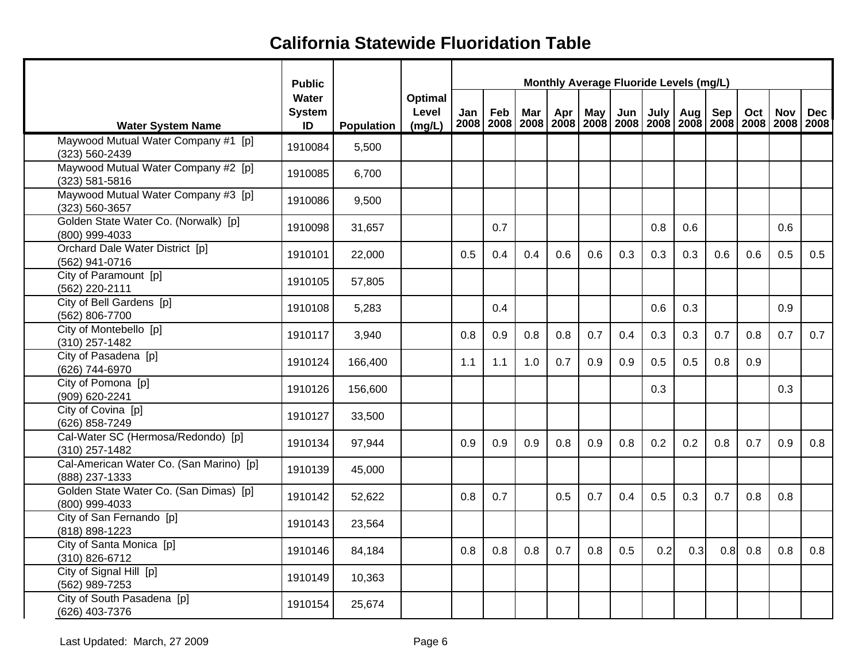|                                                           | <b>Public</b>                |                   |                            |     |     |            |     |     | Monthly Average Fluoride Levels (mg/L)                                                   |      |     |     |     |            |            |
|-----------------------------------------------------------|------------------------------|-------------------|----------------------------|-----|-----|------------|-----|-----|------------------------------------------------------------------------------------------|------|-----|-----|-----|------------|------------|
| <b>Water System Name</b>                                  | Water<br><b>System</b><br>ID | <b>Population</b> | Optimal<br>Level<br>(mg/L) | Jan | Feb | <b>Mar</b> | Apr | May | Jun<br>2008   2008   2008   2008   2008   2008   2008   2008   2008   2008   2008   2008 | July | Aug | Sep | Oct | <b>Nov</b> | <b>Dec</b> |
| Maywood Mutual Water Company #1 [p]<br>(323) 560-2439     | 1910084                      | 5,500             |                            |     |     |            |     |     |                                                                                          |      |     |     |     |            |            |
| Maywood Mutual Water Company #2 [p]<br>(323) 581-5816     | 1910085                      | 6,700             |                            |     |     |            |     |     |                                                                                          |      |     |     |     |            |            |
| Maywood Mutual Water Company #3 [p]<br>(323) 560-3657     | 1910086                      | 9,500             |                            |     |     |            |     |     |                                                                                          |      |     |     |     |            |            |
| Golden State Water Co. (Norwalk) [p]<br>(800) 999-4033    | 1910098                      | 31,657            |                            |     | 0.7 |            |     |     |                                                                                          | 0.8  | 0.6 |     |     | 0.6        |            |
| Orchard Dale Water District [p]<br>(562) 941-0716         | 1910101                      | 22,000            |                            | 0.5 | 0.4 | 0.4        | 0.6 | 0.6 | 0.3                                                                                      | 0.3  | 0.3 | 0.6 | 0.6 | 0.5        | 0.5        |
| City of Paramount [p]<br>(562) 220-2111                   | 1910105                      | 57,805            |                            |     |     |            |     |     |                                                                                          |      |     |     |     |            |            |
| City of Bell Gardens [p]<br>(562) 806-7700                | 1910108                      | 5,283             |                            |     | 0.4 |            |     |     |                                                                                          | 0.6  | 0.3 |     |     | 0.9        |            |
| City of Montebello [p]<br>(310) 257-1482                  | 1910117                      | 3,940             |                            | 0.8 | 0.9 | 0.8        | 0.8 | 0.7 | 0.4                                                                                      | 0.3  | 0.3 | 0.7 | 0.8 | 0.7        | 0.7        |
| City of Pasadena [p]<br>(626) 744-6970                    | 1910124                      | 166,400           |                            | 1.1 | 1.1 | 1.0        | 0.7 | 0.9 | 0.9                                                                                      | 0.5  | 0.5 | 0.8 | 0.9 |            |            |
| City of Pomona [p]<br>(909) 620-2241                      | 1910126                      | 156,600           |                            |     |     |            |     |     |                                                                                          | 0.3  |     |     |     | 0.3        |            |
| City of Covina [p]<br>(626) 858-7249                      | 1910127                      | 33,500            |                            |     |     |            |     |     |                                                                                          |      |     |     |     |            |            |
| Cal-Water SC (Hermosa/Redondo) [p]<br>(310) 257-1482      | 1910134                      | 97,944            |                            | 0.9 | 0.9 | 0.9        | 0.8 | 0.9 | 0.8                                                                                      | 0.2  | 0.2 | 0.8 | 0.7 | 0.9        | 0.8        |
| Cal-American Water Co. (San Marino) [p]<br>(888) 237-1333 | 1910139                      | 45,000            |                            |     |     |            |     |     |                                                                                          |      |     |     |     |            |            |
| Golden State Water Co. (San Dimas) [p]<br>(800) 999-4033  | 1910142                      | 52,622            |                            | 0.8 | 0.7 |            | 0.5 | 0.7 | 0.4                                                                                      | 0.5  | 0.3 | 0.7 | 0.8 | 0.8        |            |
| City of San Fernando [p]<br>(818) 898-1223                | 1910143                      | 23,564            |                            |     |     |            |     |     |                                                                                          |      |     |     |     |            |            |
| City of Santa Monica [p]<br>(310) 826-6712                | 1910146                      | 84,184            |                            | 0.8 | 0.8 | 0.8        | 0.7 | 0.8 | 0.5                                                                                      | 0.2  | 0.3 | 0.8 | 0.8 | 0.8        | 0.8        |
| City of Signal Hill [p]<br>(562) 989-7253                 | 1910149                      | 10,363            |                            |     |     |            |     |     |                                                                                          |      |     |     |     |            |            |
| City of South Pasadena [p]<br>(626) 403-7376              | 1910154                      | 25,674            |                            |     |     |            |     |     |                                                                                          |      |     |     |     |            |            |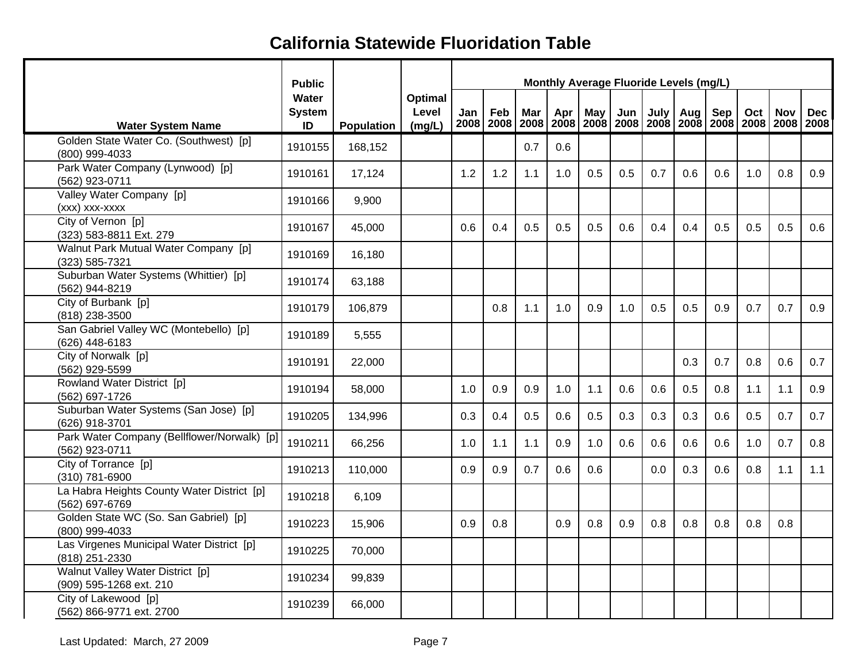|                                                               | <b>Public</b>                |                   |                            |     |     |     |     |     | Monthly Average Fluoride Levels (mg/L)                                                   |     |            |     |     |            |            |
|---------------------------------------------------------------|------------------------------|-------------------|----------------------------|-----|-----|-----|-----|-----|------------------------------------------------------------------------------------------|-----|------------|-----|-----|------------|------------|
| <b>Water System Name</b>                                      | Water<br><b>System</b><br>ID | <b>Population</b> | Optimal<br>Level<br>(mg/L) | Jan | Feb | Mar | Apr | May | Jun<br>2008   2008   2008   2008   2008   2008   2008   2008   2008   2008   2008   2008 |     | July   Aug | Sep | Oct | <b>Nov</b> | <b>Dec</b> |
| Golden State Water Co. (Southwest) [p]<br>(800) 999-4033      | 1910155                      | 168,152           |                            |     |     | 0.7 | 0.6 |     |                                                                                          |     |            |     |     |            |            |
| Park Water Company (Lynwood) [p]<br>(562) 923-0711            | 1910161                      | 17,124            |                            | 1.2 | 1.2 | 1.1 | 1.0 | 0.5 | 0.5                                                                                      | 0.7 | 0.6        | 0.6 | 1.0 | 0.8        | 0.9        |
| Valley Water Company [p]<br>(xxx) xxx-xxxx                    | 1910166                      | 9,900             |                            |     |     |     |     |     |                                                                                          |     |            |     |     |            |            |
| City of Vernon [p]<br>(323) 583-8811 Ext. 279                 | 1910167                      | 45,000            |                            | 0.6 | 0.4 | 0.5 | 0.5 | 0.5 | 0.6                                                                                      | 0.4 | 0.4        | 0.5 | 0.5 | 0.5        | 0.6        |
| Walnut Park Mutual Water Company [p]<br>(323) 585-7321        | 1910169                      | 16,180            |                            |     |     |     |     |     |                                                                                          |     |            |     |     |            |            |
| Suburban Water Systems (Whittier) [p]<br>(562) 944-8219       | 1910174                      | 63,188            |                            |     |     |     |     |     |                                                                                          |     |            |     |     |            |            |
| City of Burbank [p]<br>(818) 238-3500                         | 1910179                      | 106,879           |                            |     | 0.8 | 1.1 | 1.0 | 0.9 | 1.0                                                                                      | 0.5 | 0.5        | 0.9 | 0.7 | 0.7        | 0.9        |
| San Gabriel Valley WC (Montebello) [p]<br>(626) 448-6183      | 1910189                      | 5,555             |                            |     |     |     |     |     |                                                                                          |     |            |     |     |            |            |
| City of Norwalk [p]<br>(562) 929-5599                         | 1910191                      | 22,000            |                            |     |     |     |     |     |                                                                                          |     | 0.3        | 0.7 | 0.8 | 0.6        | 0.7        |
| Rowland Water District [p]<br>(562) 697-1726                  | 1910194                      | 58,000            |                            | 1.0 | 0.9 | 0.9 | 1.0 | 1.1 | 0.6                                                                                      | 0.6 | 0.5        | 0.8 | 1.1 | 1.1        | 0.9        |
| Suburban Water Systems (San Jose) [p]<br>(626) 918-3701       | 1910205                      | 134,996           |                            | 0.3 | 0.4 | 0.5 | 0.6 | 0.5 | 0.3                                                                                      | 0.3 | 0.3        | 0.6 | 0.5 | 0.7        | 0.7        |
| Park Water Company (Bellflower/Norwalk) [p]<br>(562) 923-0711 | 1910211                      | 66,256            |                            | 1.0 | 1.1 | 1.1 | 0.9 | 1.0 | 0.6                                                                                      | 0.6 | 0.6        | 0.6 | 1.0 | 0.7        | 0.8        |
| City of Torrance [p]<br>(310) 781-6900                        | 1910213                      | 110,000           |                            | 0.9 | 0.9 | 0.7 | 0.6 | 0.6 |                                                                                          | 0.0 | 0.3        | 0.6 | 0.8 | 1.1        | 1.1        |
| La Habra Heights County Water District [p]<br>(562) 697-6769  | 1910218                      | 6,109             |                            |     |     |     |     |     |                                                                                          |     |            |     |     |            |            |
| Golden State WC (So. San Gabriel) [p]<br>(800) 999-4033       | 1910223                      | 15,906            |                            | 0.9 | 0.8 |     | 0.9 | 0.8 | 0.9                                                                                      | 0.8 | 0.8        | 0.8 | 0.8 | 0.8        |            |
| Las Virgenes Municipal Water District [p]<br>(818) 251-2330   | 1910225                      | 70,000            |                            |     |     |     |     |     |                                                                                          |     |            |     |     |            |            |
| Walnut Valley Water District [p]<br>(909) 595-1268 ext. 210   | 1910234                      | 99,839            |                            |     |     |     |     |     |                                                                                          |     |            |     |     |            |            |
| City of Lakewood [p]<br>(562) 866-9771 ext. 2700              | 1910239                      | 66,000            |                            |     |     |     |     |     |                                                                                          |     |            |     |     |            |            |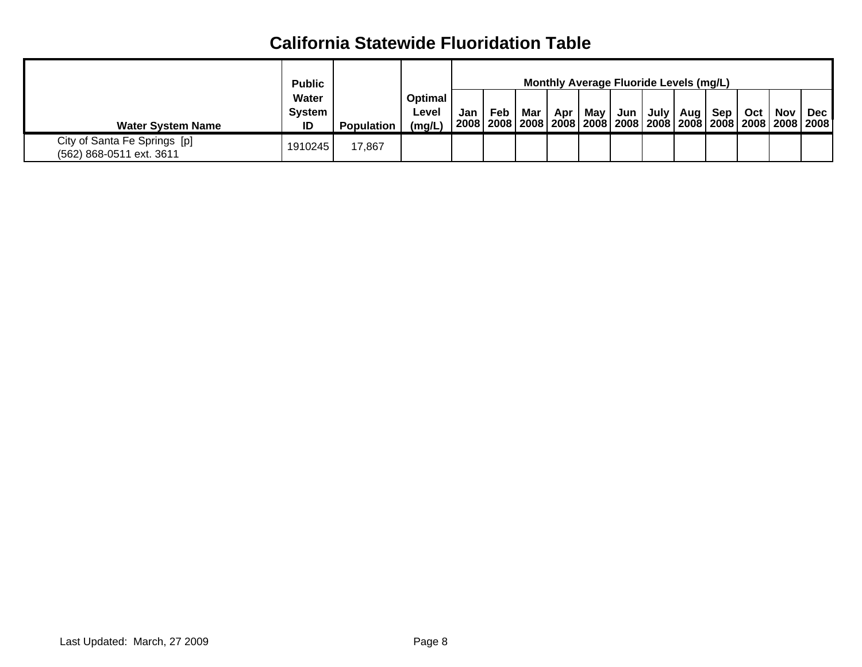|                                                          | <b>Public</b>                |                   |                            |           |     |       |       |  | <b>Monthly Average Fluoride Levels (mg/L)</b> |       |                                                                                                  |
|----------------------------------------------------------|------------------------------|-------------------|----------------------------|-----------|-----|-------|-------|--|-----------------------------------------------|-------|--------------------------------------------------------------------------------------------------|
| <b>Water System Name</b>                                 | Water<br><b>System</b><br>ID | <b>Population</b> | Optimal<br>Level<br>(mq/L) | Jan   Feb | Mar | Apr I | May I |  | Jun   July   Aug   Sep                        | Oct I | Nov   Dec<br>່ 2008   2008   2008   2008   2008   2008   2008   2008   2008   2008   2008   2008 |
| City of Santa Fe Springs [p]<br>(562) 868-0511 ext. 3611 | 1910245                      | 17,867            |                            |           |     |       |       |  |                                               |       |                                                                                                  |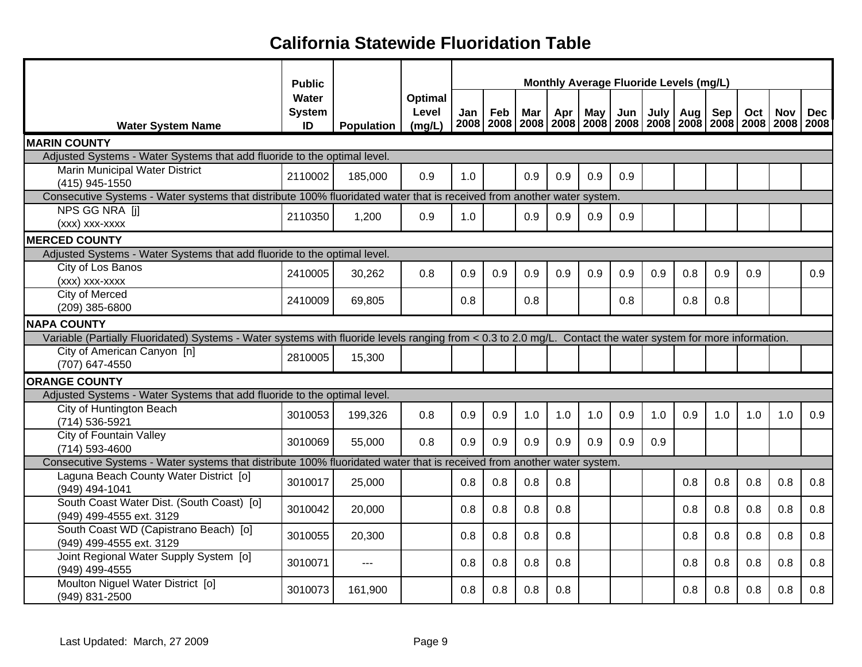|                                                                                                                                                              | <b>Public</b>                |                     |                            |     |     |            |     |     | Monthly Average Fluoride Levels (mg/L)                                                   |      |     |     |     |            |            |
|--------------------------------------------------------------------------------------------------------------------------------------------------------------|------------------------------|---------------------|----------------------------|-----|-----|------------|-----|-----|------------------------------------------------------------------------------------------|------|-----|-----|-----|------------|------------|
| <b>Water System Name</b>                                                                                                                                     | Water<br><b>System</b><br>ID | <b>Population</b> 1 | Optimal<br>Level<br>(mg/L) | Jan | Feb | <b>Mar</b> | Apr | May | Jun<br>2008   2008   2008   2008   2008   2008   2008   2008   2008   2008   2008   2008 | July | Aug | Sep | Oct | <b>Nov</b> | <b>Dec</b> |
| <b>MARIN COUNTY</b>                                                                                                                                          |                              |                     |                            |     |     |            |     |     |                                                                                          |      |     |     |     |            |            |
| Adjusted Systems - Water Systems that add fluoride to the optimal level.                                                                                     |                              |                     |                            |     |     |            |     |     |                                                                                          |      |     |     |     |            |            |
| Marin Municipal Water District<br>(415) 945-1550                                                                                                             | 2110002                      | 185,000             | 0.9                        | 1.0 |     | 0.9        | 0.9 | 0.9 | 0.9                                                                                      |      |     |     |     |            |            |
| Consecutive Systems - Water systems that distribute 100% fluoridated water that is received from another water system.                                       |                              |                     |                            |     |     |            |     |     |                                                                                          |      |     |     |     |            |            |
| NPS GG NRA [i]<br>(xxx) xxx-xxxx                                                                                                                             | 2110350                      | 1,200               | 0.9                        | 1.0 |     | 0.9        | 0.9 | 0.9 | 0.9                                                                                      |      |     |     |     |            |            |
| <b>MERCED COUNTY</b>                                                                                                                                         |                              |                     |                            |     |     |            |     |     |                                                                                          |      |     |     |     |            |            |
| Adjusted Systems - Water Systems that add fluoride to the optimal level.                                                                                     |                              |                     |                            |     |     |            |     |     |                                                                                          |      |     |     |     |            |            |
| City of Los Banos<br>(xxx) xxx-xxxx                                                                                                                          | 2410005                      | 30,262              | 0.8                        | 0.9 | 0.9 | 0.9        | 0.9 | 0.9 | 0.9                                                                                      | 0.9  | 0.8 | 0.9 | 0.9 |            | 0.9        |
| <b>City of Merced</b><br>(209) 385-6800                                                                                                                      | 2410009                      | 69,805              |                            | 0.8 |     | 0.8        |     |     | 0.8                                                                                      |      | 0.8 | 0.8 |     |            |            |
| <b>NAPA COUNTY</b>                                                                                                                                           |                              |                     |                            |     |     |            |     |     |                                                                                          |      |     |     |     |            |            |
| Variable (Partially Fluoridated) Systems - Water systems with fluoride levels ranging from < 0.3 to 2.0 mg/L. Contact the water system for more information. |                              |                     |                            |     |     |            |     |     |                                                                                          |      |     |     |     |            |            |
| City of American Canyon [n]<br>(707) 647-4550                                                                                                                | 2810005                      | 15,300              |                            |     |     |            |     |     |                                                                                          |      |     |     |     |            |            |
| <b>ORANGE COUNTY</b>                                                                                                                                         |                              |                     |                            |     |     |            |     |     |                                                                                          |      |     |     |     |            |            |
| Adjusted Systems - Water Systems that add fluoride to the optimal level.                                                                                     |                              |                     |                            |     |     |            |     |     |                                                                                          |      |     |     |     |            |            |
| City of Huntington Beach<br>(714) 536-5921                                                                                                                   | 3010053                      | 199,326             | 0.8                        | 0.9 | 0.9 | 1.0        | 1.0 | 1.0 | 0.9                                                                                      | 1.0  | 0.9 | 1.0 | 1.0 | 1.0        | 0.9        |
| <b>City of Fountain Valley</b><br>(714) 593-4600                                                                                                             | 3010069                      | 55,000              | 0.8                        | 0.9 | 0.9 | 0.9        | 0.9 | 0.9 | 0.9                                                                                      | 0.9  |     |     |     |            |            |
| Consecutive Systems - Water systems that distribute 100% fluoridated water that is received from another water system.                                       |                              |                     |                            |     |     |            |     |     |                                                                                          |      |     |     |     |            |            |
| Laguna Beach County Water District [0]<br>(949) 494-1041                                                                                                     | 3010017                      | 25,000              |                            | 0.8 | 0.8 | 0.8        | 0.8 |     |                                                                                          |      | 0.8 | 0.8 | 0.8 | 0.8        | 0.8        |
| South Coast Water Dist. (South Coast) [o]<br>(949) 499-4555 ext. 3129                                                                                        | 3010042                      | 20,000              |                            | 0.8 | 0.8 | 0.8        | 0.8 |     |                                                                                          |      | 0.8 | 0.8 | 0.8 | 0.8        | 0.8        |
| South Coast WD (Capistrano Beach) [o]<br>(949) 499-4555 ext. 3129                                                                                            | 3010055                      | 20,300              |                            | 0.8 | 0.8 | 0.8        | 0.8 |     |                                                                                          |      | 0.8 | 0.8 | 0.8 | 0.8        | 0.8        |
| Joint Regional Water Supply System [o]<br>(949) 499-4555                                                                                                     | 3010071                      | $-$                 |                            | 0.8 | 0.8 | 0.8        | 0.8 |     |                                                                                          |      | 0.8 | 0.8 | 0.8 | 0.8        | 0.8        |
| Moulton Niguel Water District [0]<br>(949) 831-2500                                                                                                          | 3010073                      | 161,900             |                            | 0.8 | 0.8 | 0.8        | 0.8 |     |                                                                                          |      | 0.8 | 0.8 | 0.8 | 0.8        | 0.8        |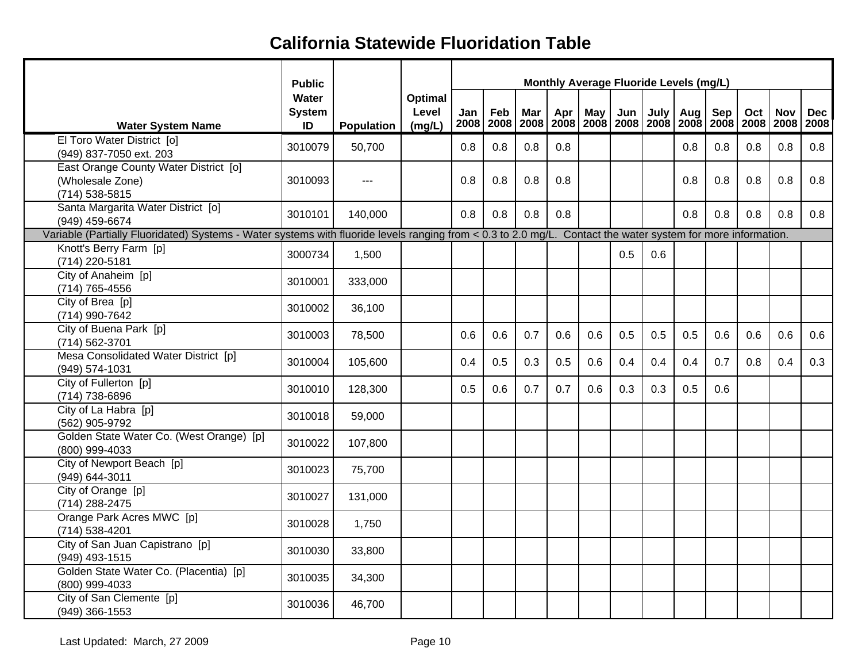|                                                                                                                                                              | <b>Public</b>                |            |                            |     |     |     |     |                  | Monthly Average Fluoride Levels (mg/L)                                                   |     |            |     |     |            |            |
|--------------------------------------------------------------------------------------------------------------------------------------------------------------|------------------------------|------------|----------------------------|-----|-----|-----|-----|------------------|------------------------------------------------------------------------------------------|-----|------------|-----|-----|------------|------------|
| <b>Water System Name</b>                                                                                                                                     | Water<br><b>System</b><br>ID | Population | Optimal<br>Level<br>(mg/L) | Jan | Feb | Mar | Apr | May <sub>l</sub> | Jun<br>2008   2008   2008   2008   2008   2008   2008   2008   2008   2008   2008   2008 |     | July   Aug | Sep | Oct | <b>Nov</b> | <b>Dec</b> |
| El Toro Water District [o]<br>(949) 837-7050 ext. 203                                                                                                        | 3010079                      | 50,700     |                            | 0.8 | 0.8 | 0.8 | 0.8 |                  |                                                                                          |     | 0.8        | 0.8 | 0.8 | 0.8        | 0.8        |
| East Orange County Water District [0]<br>(Wholesale Zone)<br>(714) 538-5815                                                                                  | 3010093                      |            |                            | 0.8 | 0.8 | 0.8 | 0.8 |                  |                                                                                          |     | 0.8        | 0.8 | 0.8 | 0.8        | 0.8        |
| Santa Margarita Water District [0]<br>(949) 459-6674                                                                                                         | 3010101                      | 140,000    |                            | 0.8 | 0.8 | 0.8 | 0.8 |                  |                                                                                          |     | 0.8        | 0.8 | 0.8 | 0.8        | 0.8        |
| Variable (Partially Fluoridated) Systems - Water systems with fluoride levels ranging from < 0.3 to 2.0 mg/L. Contact the water system for more information. |                              |            |                            |     |     |     |     |                  |                                                                                          |     |            |     |     |            |            |
| Knott's Berry Farm [p]<br>(714) 220-5181                                                                                                                     | 3000734                      | 1,500      |                            |     |     |     |     |                  | 0.5                                                                                      | 0.6 |            |     |     |            |            |
| City of Anaheim [p]<br>(714) 765-4556                                                                                                                        | 3010001                      | 333,000    |                            |     |     |     |     |                  |                                                                                          |     |            |     |     |            |            |
| City of Brea [p]<br>(714) 990-7642                                                                                                                           | 3010002                      | 36,100     |                            |     |     |     |     |                  |                                                                                          |     |            |     |     |            |            |
| City of Buena Park [p]<br>(714) 562-3701                                                                                                                     | 3010003                      | 78,500     |                            | 0.6 | 0.6 | 0.7 | 0.6 | 0.6              | 0.5                                                                                      | 0.5 | 0.5        | 0.6 | 0.6 | 0.6        | 0.6        |
| Mesa Consolidated Water District [p]<br>(949) 574-1031                                                                                                       | 3010004                      | 105,600    |                            | 0.4 | 0.5 | 0.3 | 0.5 | 0.6              | 0.4                                                                                      | 0.4 | 0.4        | 0.7 | 0.8 | 0.4        | 0.3        |
| City of Fullerton [p]<br>(714) 738-6896                                                                                                                      | 3010010                      | 128,300    |                            | 0.5 | 0.6 | 0.7 | 0.7 | 0.6              | 0.3                                                                                      | 0.3 | 0.5        | 0.6 |     |            |            |
| City of La Habra [p]<br>(562) 905-9792                                                                                                                       | 3010018                      | 59,000     |                            |     |     |     |     |                  |                                                                                          |     |            |     |     |            |            |
| Golden State Water Co. (West Orange) [p]<br>(800) 999-4033                                                                                                   | 3010022                      | 107,800    |                            |     |     |     |     |                  |                                                                                          |     |            |     |     |            |            |
| City of Newport Beach [p]<br>(949) 644-3011                                                                                                                  | 3010023                      | 75,700     |                            |     |     |     |     |                  |                                                                                          |     |            |     |     |            |            |
| City of Orange [p]<br>(714) 288-2475                                                                                                                         | 3010027                      | 131,000    |                            |     |     |     |     |                  |                                                                                          |     |            |     |     |            |            |
| Orange Park Acres MWC [p]<br>(714) 538-4201                                                                                                                  | 3010028                      | 1,750      |                            |     |     |     |     |                  |                                                                                          |     |            |     |     |            |            |
| City of San Juan Capistrano [p]<br>(949) 493-1515                                                                                                            | 3010030                      | 33,800     |                            |     |     |     |     |                  |                                                                                          |     |            |     |     |            |            |
| Golden State Water Co. (Placentia) [p]<br>(800) 999-4033                                                                                                     | 3010035                      | 34,300     |                            |     |     |     |     |                  |                                                                                          |     |            |     |     |            |            |
| City of San Clemente [p]<br>(949) 366-1553                                                                                                                   | 3010036                      | 46,700     |                            |     |     |     |     |                  |                                                                                          |     |            |     |     |            |            |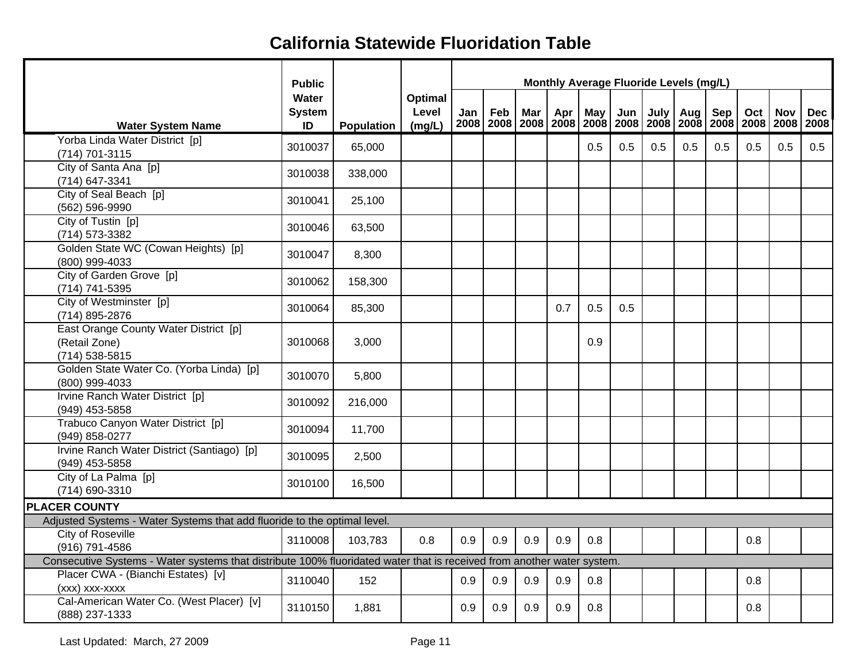|                                                                                                                        | <b>Public</b>                |                   |                                   |     |     |     |     |     |     |     | Monthly Average Fluoride Levels (mg/L) |     |     |                                                                                                 |            |
|------------------------------------------------------------------------------------------------------------------------|------------------------------|-------------------|-----------------------------------|-----|-----|-----|-----|-----|-----|-----|----------------------------------------|-----|-----|-------------------------------------------------------------------------------------------------|------------|
| <b>Water System Name</b>                                                                                               | Water<br><b>System</b><br>ID | <b>Population</b> | <b>Optimal</b><br>Level<br>(mg/L) | Jan | Feb | Mar | Apr | May | Jun |     | July   Aug                             | Sep | Oct | <b>Nov</b><br>2008   2008   2008   2008   2008   2008   2008   2008   2008   2008   2008   2008 | <b>Dec</b> |
| Yorba Linda Water District [p]<br>(714) 701-3115                                                                       | 3010037                      | 65,000            |                                   |     |     |     |     | 0.5 | 0.5 | 0.5 | 0.5                                    | 0.5 | 0.5 | 0.5                                                                                             | 0.5        |
| City of Santa Ana [p]<br>(714) 647-3341                                                                                | 3010038                      | 338,000           |                                   |     |     |     |     |     |     |     |                                        |     |     |                                                                                                 |            |
| City of Seal Beach [p]<br>(562) 596-9990                                                                               | 3010041                      | 25,100            |                                   |     |     |     |     |     |     |     |                                        |     |     |                                                                                                 |            |
| City of Tustin [p]<br>(714) 573-3382                                                                                   | 3010046                      | 63,500            |                                   |     |     |     |     |     |     |     |                                        |     |     |                                                                                                 |            |
| Golden State WC (Cowan Heights) [p]<br>(800) 999-4033                                                                  | 3010047                      | 8,300             |                                   |     |     |     |     |     |     |     |                                        |     |     |                                                                                                 |            |
| City of Garden Grove [p]<br>(714) 741-5395                                                                             | 3010062                      | 158,300           |                                   |     |     |     |     |     |     |     |                                        |     |     |                                                                                                 |            |
| City of Westminster [p]<br>(714) 895-2876                                                                              | 3010064                      | 85,300            |                                   |     |     |     | 0.7 | 0.5 | 0.5 |     |                                        |     |     |                                                                                                 |            |
| East Orange County Water District [p]<br>(Retail Zone)<br>(714) 538-5815                                               | 3010068                      | 3,000             |                                   |     |     |     |     | 0.9 |     |     |                                        |     |     |                                                                                                 |            |
| Golden State Water Co. (Yorba Linda) [p]<br>(800) 999-4033                                                             | 3010070                      | 5,800             |                                   |     |     |     |     |     |     |     |                                        |     |     |                                                                                                 |            |
| Irvine Ranch Water District [p]<br>(949) 453-5858                                                                      | 3010092                      | 216,000           |                                   |     |     |     |     |     |     |     |                                        |     |     |                                                                                                 |            |
| Trabuco Canyon Water District [p]<br>(949) 858-0277                                                                    | 3010094                      | 11,700            |                                   |     |     |     |     |     |     |     |                                        |     |     |                                                                                                 |            |
| Irvine Ranch Water District (Santiago) [p]<br>(949) 453-5858                                                           | 3010095                      | 2,500             |                                   |     |     |     |     |     |     |     |                                        |     |     |                                                                                                 |            |
| City of La Palma [p]<br>(714) 690-3310                                                                                 | 3010100                      | 16,500            |                                   |     |     |     |     |     |     |     |                                        |     |     |                                                                                                 |            |
| <b>PLACER COUNTY</b>                                                                                                   |                              |                   |                                   |     |     |     |     |     |     |     |                                        |     |     |                                                                                                 |            |
| Adjusted Systems - Water Systems that add fluoride to the optimal level.                                               |                              |                   |                                   |     |     |     |     |     |     |     |                                        |     |     |                                                                                                 |            |
| City of Roseville<br>(916) 791-4586                                                                                    | 3110008                      | 103,783           | 0.8                               | 0.9 | 0.9 | 0.9 | 0.9 | 0.8 |     |     |                                        |     | 0.8 |                                                                                                 |            |
| Consecutive Systems - Water systems that distribute 100% fluoridated water that is received from another water system. |                              |                   |                                   |     |     |     |     |     |     |     |                                        |     |     |                                                                                                 |            |
| Placer CWA - (Bianchi Estates) [v]<br>(xxx) xxx-xxxx                                                                   | 3110040                      | 152               |                                   | 0.9 | 0.9 | 0.9 | 0.9 | 0.8 |     |     |                                        |     | 0.8 |                                                                                                 |            |
| Cal-American Water Co. (West Placer) [v]<br>(888) 237-1333                                                             | 3110150                      | 1,881             |                                   | 0.9 | 0.9 | 0.9 | 0.9 | 0.8 |     |     |                                        |     | 0.8 |                                                                                                 |            |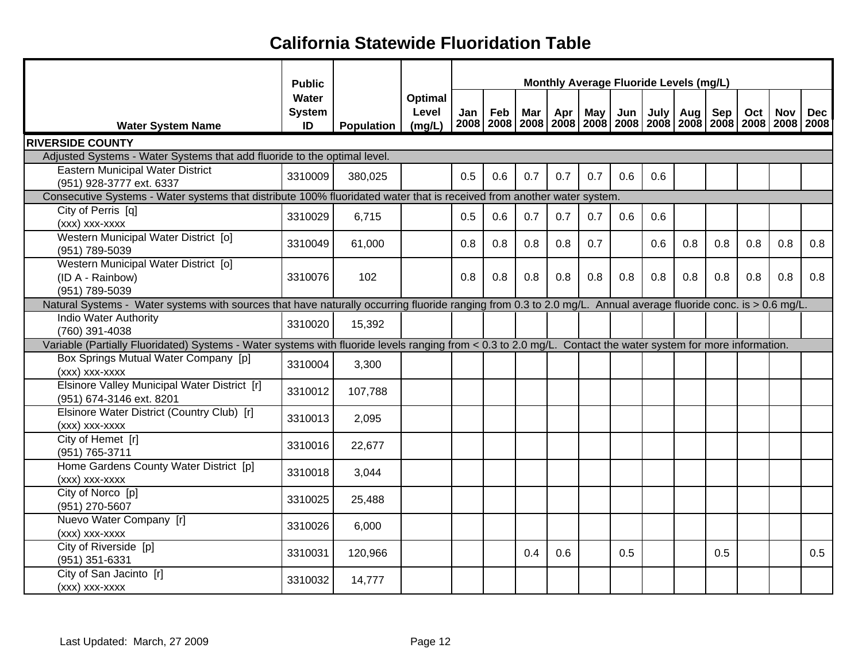|                                                                                                                                                                                                | <b>Public</b>                |                   |                            |     |     |     |     |     | Monthly Average Fluoride Levels (mg/L) |      |     |            |                                                                                          |            |            |
|------------------------------------------------------------------------------------------------------------------------------------------------------------------------------------------------|------------------------------|-------------------|----------------------------|-----|-----|-----|-----|-----|----------------------------------------|------|-----|------------|------------------------------------------------------------------------------------------|------------|------------|
| <b>Water System Name</b>                                                                                                                                                                       | Water<br><b>System</b><br>ID | <b>Population</b> | Optimal<br>Level<br>(mg/L) | Jan | Feb | Mar | Apr | May | Jun                                    | July | Aug | <b>Sep</b> | Oct<br>2008   2008   2008   2008   2008   2008   2008   2008   2008   2008   2008   2008 | <b>Nov</b> | <b>Dec</b> |
| <b>RIVERSIDE COUNTY</b>                                                                                                                                                                        |                              |                   |                            |     |     |     |     |     |                                        |      |     |            |                                                                                          |            |            |
| Adjusted Systems - Water Systems that add fluoride to the optimal level.                                                                                                                       |                              |                   |                            |     |     |     |     |     |                                        |      |     |            |                                                                                          |            |            |
| <b>Eastern Municipal Water District</b>                                                                                                                                                        | 3310009                      | 380,025           |                            | 0.5 | 0.6 | 0.7 | 0.7 | 0.7 | 0.6                                    | 0.6  |     |            |                                                                                          |            |            |
| (951) 928-3777 ext. 6337                                                                                                                                                                       |                              |                   |                            |     |     |     |     |     |                                        |      |     |            |                                                                                          |            |            |
| Consecutive Systems - Water systems that distribute 100% fluoridated water that is received from another water system.                                                                         |                              |                   |                            |     |     |     |     |     |                                        |      |     |            |                                                                                          |            |            |
| City of Perris [q]                                                                                                                                                                             | 3310029                      | 6,715             |                            | 0.5 | 0.6 | 0.7 | 0.7 | 0.7 | 0.6                                    | 0.6  |     |            |                                                                                          |            |            |
| (xxx) xxx-xxxx                                                                                                                                                                                 |                              |                   |                            |     |     |     |     |     |                                        |      |     |            |                                                                                          |            |            |
| Western Municipal Water District [o]                                                                                                                                                           | 3310049                      | 61,000            |                            | 0.8 | 0.8 | 0.8 | 0.8 | 0.7 |                                        | 0.6  | 0.8 | 0.8        | 0.8                                                                                      | 0.8        | 0.8        |
| (951) 789-5039                                                                                                                                                                                 |                              |                   |                            |     |     |     |     |     |                                        |      |     |            |                                                                                          |            |            |
| Western Municipal Water District [0]                                                                                                                                                           |                              |                   |                            |     |     |     |     |     |                                        |      |     |            |                                                                                          |            |            |
| (ID A - Rainbow)                                                                                                                                                                               | 3310076                      | 102               |                            | 0.8 | 0.8 | 0.8 | 0.8 | 0.8 | 0.8                                    | 0.8  | 0.8 | 0.8        | 0.8                                                                                      | 0.8        | 0.8        |
| (951) 789-5039                                                                                                                                                                                 |                              |                   |                            |     |     |     |     |     |                                        |      |     |            |                                                                                          |            |            |
| Natural Systems - Water systems with sources that have naturally occurring fluoride ranging from 0.3 to 2.0 mg/L. Annual average fluoride conc. is > 0.6 mg/L.<br><b>Indio Water Authority</b> |                              |                   |                            |     |     |     |     |     |                                        |      |     |            |                                                                                          |            |            |
| (760) 391-4038                                                                                                                                                                                 | 3310020                      | 15,392            |                            |     |     |     |     |     |                                        |      |     |            |                                                                                          |            |            |
| Variable (Partially Fluoridated) Systems - Water systems with fluoride levels ranging from < 0.3 to 2.0 mg/L. Contact the water system for more information.                                   |                              |                   |                            |     |     |     |     |     |                                        |      |     |            |                                                                                          |            |            |
| Box Springs Mutual Water Company [p]                                                                                                                                                           |                              |                   |                            |     |     |     |     |     |                                        |      |     |            |                                                                                          |            |            |
| (xxx) xxx-xxxx                                                                                                                                                                                 | 3310004                      | 3,300             |                            |     |     |     |     |     |                                        |      |     |            |                                                                                          |            |            |
| Elsinore Valley Municipal Water District [r]                                                                                                                                                   |                              |                   |                            |     |     |     |     |     |                                        |      |     |            |                                                                                          |            |            |
| (951) 674-3146 ext. 8201                                                                                                                                                                       | 3310012                      | 107,788           |                            |     |     |     |     |     |                                        |      |     |            |                                                                                          |            |            |
| Elsinore Water District (Country Club) [r]                                                                                                                                                     |                              |                   |                            |     |     |     |     |     |                                        |      |     |            |                                                                                          |            |            |
| (xxx) xxx-xxxx                                                                                                                                                                                 | 3310013                      | 2,095             |                            |     |     |     |     |     |                                        |      |     |            |                                                                                          |            |            |
| City of Hemet [r]                                                                                                                                                                              | 3310016                      | 22,677            |                            |     |     |     |     |     |                                        |      |     |            |                                                                                          |            |            |
| (951) 765-3711                                                                                                                                                                                 |                              |                   |                            |     |     |     |     |     |                                        |      |     |            |                                                                                          |            |            |
| Home Gardens County Water District [p]                                                                                                                                                         | 3310018                      | 3,044             |                            |     |     |     |     |     |                                        |      |     |            |                                                                                          |            |            |
| (xxx) xxx-xxxx                                                                                                                                                                                 |                              |                   |                            |     |     |     |     |     |                                        |      |     |            |                                                                                          |            |            |
| City of Norco [p]                                                                                                                                                                              | 3310025                      | 25,488            |                            |     |     |     |     |     |                                        |      |     |            |                                                                                          |            |            |
| (951) 270-5607                                                                                                                                                                                 |                              |                   |                            |     |     |     |     |     |                                        |      |     |            |                                                                                          |            |            |
| Nuevo Water Company [r]                                                                                                                                                                        | 3310026                      | 6,000             |                            |     |     |     |     |     |                                        |      |     |            |                                                                                          |            |            |
| (xxx) xxx-xxxx                                                                                                                                                                                 |                              |                   |                            |     |     |     |     |     |                                        |      |     |            |                                                                                          |            |            |
| City of Riverside [p]                                                                                                                                                                          | 3310031                      | 120,966           |                            |     |     | 0.4 | 0.6 |     | 0.5                                    |      |     | 0.5        |                                                                                          |            | 0.5        |
| (951) 351-6331                                                                                                                                                                                 |                              |                   |                            |     |     |     |     |     |                                        |      |     |            |                                                                                          |            |            |
| City of San Jacinto [r]                                                                                                                                                                        | 3310032                      | 14,777            |                            |     |     |     |     |     |                                        |      |     |            |                                                                                          |            |            |
| (xxx) xxx-xxxx                                                                                                                                                                                 |                              |                   |                            |     |     |     |     |     |                                        |      |     |            |                                                                                          |            |            |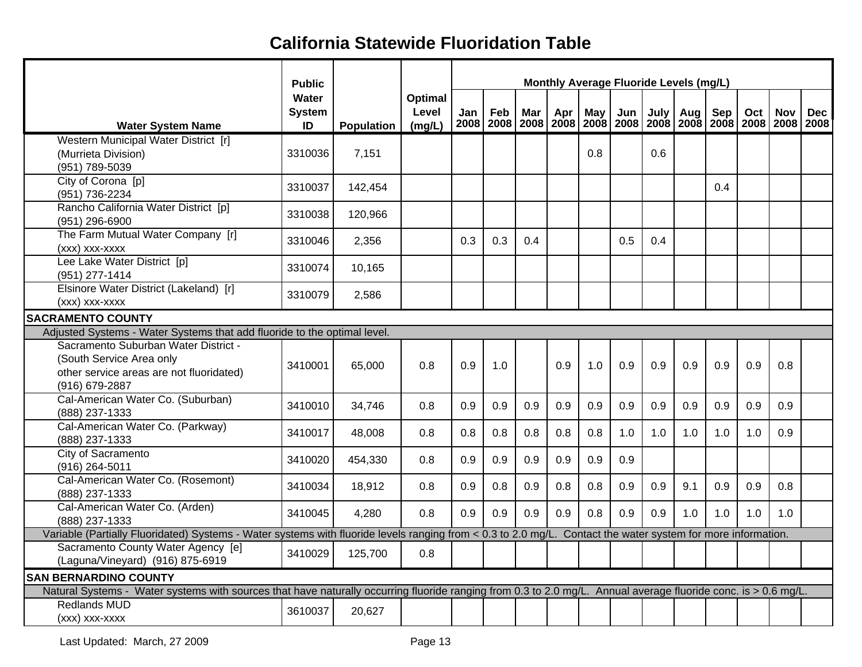|                                                                                                                                                                | <b>Public</b>       |            |                 | Monthly Average Fluoride Levels (mg/L)<br>Feb<br>Mar<br>Apr<br>May<br>Jun<br>July  <br>Sep<br>Oct<br>Jan<br>Aug<br><b>Nov</b><br>2008   2008   2008   2008   2008   2008   2008   2008   2008   2008   2008   2008 |     |     |     |     |     |     |     |     |     |     |            |
|----------------------------------------------------------------------------------------------------------------------------------------------------------------|---------------------|------------|-----------------|--------------------------------------------------------------------------------------------------------------------------------------------------------------------------------------------------------------------|-----|-----|-----|-----|-----|-----|-----|-----|-----|-----|------------|
|                                                                                                                                                                | Water               |            | Optimal         |                                                                                                                                                                                                                    |     |     |     |     |     |     |     |     |     |     |            |
| <b>Water System Name</b>                                                                                                                                       | <b>System</b><br>ID | Population | Level<br>(mg/L) |                                                                                                                                                                                                                    |     |     |     |     |     |     |     |     |     |     | <b>Dec</b> |
| Western Municipal Water District [r]                                                                                                                           |                     |            |                 |                                                                                                                                                                                                                    |     |     |     |     |     |     |     |     |     |     |            |
| (Murrieta Division)                                                                                                                                            | 3310036             | 7,151      |                 |                                                                                                                                                                                                                    |     |     |     | 0.8 |     | 0.6 |     |     |     |     |            |
| (951) 789-5039                                                                                                                                                 |                     |            |                 |                                                                                                                                                                                                                    |     |     |     |     |     |     |     |     |     |     |            |
| City of Corona [p]                                                                                                                                             | 3310037             | 142,454    |                 |                                                                                                                                                                                                                    |     |     |     |     |     |     |     | 0.4 |     |     |            |
| (951) 736-2234                                                                                                                                                 |                     |            |                 |                                                                                                                                                                                                                    |     |     |     |     |     |     |     |     |     |     |            |
| Rancho California Water District [p]                                                                                                                           | 3310038             | 120,966    |                 |                                                                                                                                                                                                                    |     |     |     |     |     |     |     |     |     |     |            |
| (951) 296-6900                                                                                                                                                 |                     |            |                 |                                                                                                                                                                                                                    |     |     |     |     |     |     |     |     |     |     |            |
| The Farm Mutual Water Company [r]                                                                                                                              | 3310046             | 2,356      |                 | 0.3                                                                                                                                                                                                                | 0.3 | 0.4 |     |     | 0.5 | 0.4 |     |     |     |     |            |
| (xxx) xxx-xxxx                                                                                                                                                 |                     |            |                 |                                                                                                                                                                                                                    |     |     |     |     |     |     |     |     |     |     |            |
| Lee Lake Water District [p]                                                                                                                                    | 3310074             | 10,165     |                 |                                                                                                                                                                                                                    |     |     |     |     |     |     |     |     |     |     |            |
| (951) 277-1414                                                                                                                                                 |                     |            |                 |                                                                                                                                                                                                                    |     |     |     |     |     |     |     |     |     |     |            |
| Elsinore Water District (Lakeland) [r]                                                                                                                         | 3310079             | 2,586      |                 |                                                                                                                                                                                                                    |     |     |     |     |     |     |     |     |     |     |            |
| (xxx) xxx-xxxx                                                                                                                                                 |                     |            |                 |                                                                                                                                                                                                                    |     |     |     |     |     |     |     |     |     |     |            |
| <b>SACRAMENTO COUNTY</b>                                                                                                                                       |                     |            |                 |                                                                                                                                                                                                                    |     |     |     |     |     |     |     |     |     |     |            |
| Adjusted Systems - Water Systems that add fluoride to the optimal level.                                                                                       |                     |            |                 |                                                                                                                                                                                                                    |     |     |     |     |     |     |     |     |     |     |            |
| Sacramento Suburban Water District -                                                                                                                           |                     |            |                 |                                                                                                                                                                                                                    |     |     |     |     |     |     |     |     |     |     |            |
| (South Service Area only                                                                                                                                       | 3410001             | 65,000     | 0.8             | 0.9                                                                                                                                                                                                                | 1.0 |     | 0.9 | 1.0 | 0.9 | 0.9 | 0.9 | 0.9 | 0.9 | 0.8 |            |
| other service areas are not fluoridated)                                                                                                                       |                     |            |                 |                                                                                                                                                                                                                    |     |     |     |     |     |     |     |     |     |     |            |
| (916) 679-2887<br>Cal-American Water Co. (Suburban)                                                                                                            |                     |            |                 |                                                                                                                                                                                                                    |     |     |     |     |     |     |     |     |     |     |            |
| (888) 237-1333                                                                                                                                                 | 3410010             | 34,746     | 0.8             | 0.9                                                                                                                                                                                                                | 0.9 | 0.9 | 0.9 | 0.9 | 0.9 | 0.9 | 0.9 | 0.9 | 0.9 | 0.9 |            |
| Cal-American Water Co. (Parkway)                                                                                                                               |                     |            |                 |                                                                                                                                                                                                                    |     |     |     |     |     |     |     |     |     |     |            |
| (888) 237-1333                                                                                                                                                 | 3410017             | 48,008     | 0.8             | 0.8                                                                                                                                                                                                                | 0.8 | 0.8 | 0.8 | 0.8 | 1.0 | 1.0 | 1.0 | 1.0 | 1.0 | 0.9 |            |
| City of Sacramento                                                                                                                                             |                     |            |                 |                                                                                                                                                                                                                    |     |     |     |     |     |     |     |     |     |     |            |
| (916) 264-5011                                                                                                                                                 | 3410020             | 454,330    | 0.8             | 0.9                                                                                                                                                                                                                | 0.9 | 0.9 | 0.9 | 0.9 | 0.9 |     |     |     |     |     |            |
| Cal-American Water Co. (Rosemont)                                                                                                                              |                     |            |                 |                                                                                                                                                                                                                    |     |     |     |     |     |     |     |     |     |     |            |
| (888) 237-1333                                                                                                                                                 | 3410034             | 18,912     | 0.8             | 0.9                                                                                                                                                                                                                | 0.8 | 0.9 | 0.8 | 0.8 | 0.9 | 0.9 | 9.1 | 0.9 | 0.9 | 0.8 |            |
| Cal-American Water Co. (Arden)                                                                                                                                 |                     |            |                 |                                                                                                                                                                                                                    |     |     |     |     |     |     |     |     |     |     |            |
| (888) 237-1333                                                                                                                                                 | 3410045             | 4,280      | 0.8             | 0.9                                                                                                                                                                                                                | 0.9 | 0.9 | 0.9 | 0.8 | 0.9 | 0.9 | 1.0 | 1.0 | 1.0 | 1.0 |            |
| Variable (Partially Fluoridated) Systems - Water systems with fluoride levels ranging from < 0.3 to 2.0 mg/L. Contact the water system for more information.   |                     |            |                 |                                                                                                                                                                                                                    |     |     |     |     |     |     |     |     |     |     |            |
| Sacramento County Water Agency [e]                                                                                                                             | 3410029             | 125,700    | 0.8             |                                                                                                                                                                                                                    |     |     |     |     |     |     |     |     |     |     |            |
| (Laguna/Vineyard) (916) 875-6919                                                                                                                               |                     |            |                 |                                                                                                                                                                                                                    |     |     |     |     |     |     |     |     |     |     |            |
| <b>SAN BERNARDINO COUNTY</b>                                                                                                                                   |                     |            |                 |                                                                                                                                                                                                                    |     |     |     |     |     |     |     |     |     |     |            |
| Natural Systems - Water systems with sources that have naturally occurring fluoride ranging from 0.3 to 2.0 mg/L. Annual average fluoride conc. is > 0.6 mg/L. |                     |            |                 |                                                                                                                                                                                                                    |     |     |     |     |     |     |     |     |     |     |            |
| <b>Redlands MUD</b>                                                                                                                                            | 3610037             | 20,627     |                 |                                                                                                                                                                                                                    |     |     |     |     |     |     |     |     |     |     |            |
| (xxx) xxx-xxxx                                                                                                                                                 |                     |            |                 |                                                                                                                                                                                                                    |     |     |     |     |     |     |     |     |     |     |            |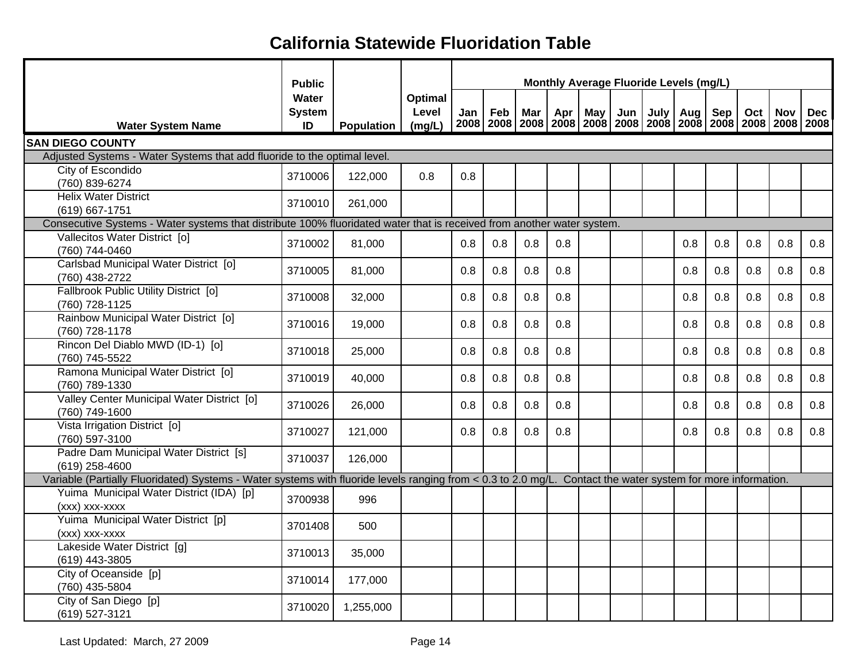|                                                                                                                                                              | <b>Public</b>                       |                   |                            | Monthly Average Fluoride Levels (mg/L)<br>Feb<br>Apr  <br>May Jun<br>July Aug<br>Sep<br>Mar<br>Jan<br>2008   2008   2008   2008   2008   2008   2008   2008   2008   2008   2008   2008 |     |     |     |  |  |  |     |     |     |            |            |
|--------------------------------------------------------------------------------------------------------------------------------------------------------------|-------------------------------------|-------------------|----------------------------|-----------------------------------------------------------------------------------------------------------------------------------------------------------------------------------------|-----|-----|-----|--|--|--|-----|-----|-----|------------|------------|
| <b>Water System Name</b>                                                                                                                                     | <b>Water</b><br><b>System</b><br>ID | <b>Population</b> | Optimal<br>Level<br>(mg/L) |                                                                                                                                                                                         |     |     |     |  |  |  |     |     | Oct | <b>Nov</b> | <b>Dec</b> |
| <b>SAN DIEGO COUNTY</b>                                                                                                                                      |                                     |                   |                            |                                                                                                                                                                                         |     |     |     |  |  |  |     |     |     |            |            |
| Adjusted Systems - Water Systems that add fluoride to the optimal level.                                                                                     |                                     |                   |                            |                                                                                                                                                                                         |     |     |     |  |  |  |     |     |     |            |            |
| City of Escondido<br>(760) 839-6274                                                                                                                          | 3710006                             | 122,000           | 0.8                        | 0.8                                                                                                                                                                                     |     |     |     |  |  |  |     |     |     |            |            |
| <b>Helix Water District</b><br>(619) 667-1751                                                                                                                | 3710010                             | 261,000           |                            |                                                                                                                                                                                         |     |     |     |  |  |  |     |     |     |            |            |
| Consecutive Systems - Water systems that distribute 100% fluoridated water that is received from another water system.                                       |                                     |                   |                            |                                                                                                                                                                                         |     |     |     |  |  |  |     |     |     |            |            |
| Vallecitos Water District [o]<br>(760) 744-0460                                                                                                              | 3710002                             | 81,000            |                            | 0.8                                                                                                                                                                                     | 0.8 | 0.8 | 0.8 |  |  |  | 0.8 | 0.8 | 0.8 | 0.8        | 0.8        |
| Carlsbad Municipal Water District [0]<br>(760) 438-2722                                                                                                      | 3710005                             | 81,000            |                            | 0.8                                                                                                                                                                                     | 0.8 | 0.8 | 0.8 |  |  |  | 0.8 | 0.8 | 0.8 | 0.8        | 0.8        |
| Fallbrook Public Utility District [0]<br>(760) 728-1125                                                                                                      | 3710008                             | 32,000            |                            | 0.8                                                                                                                                                                                     | 0.8 | 0.8 | 0.8 |  |  |  | 0.8 | 0.8 | 0.8 | 0.8        | 0.8        |
| Rainbow Municipal Water District [0]<br>(760) 728-1178                                                                                                       | 3710016                             | 19,000            |                            | 0.8                                                                                                                                                                                     | 0.8 | 0.8 | 0.8 |  |  |  | 0.8 | 0.8 | 0.8 | 0.8        | 0.8        |
| Rincon Del Diablo MWD (ID-1) [o]<br>(760) 745-5522                                                                                                           | 3710018                             | 25,000            |                            | 0.8                                                                                                                                                                                     | 0.8 | 0.8 | 0.8 |  |  |  | 0.8 | 0.8 | 0.8 | 0.8        | 0.8        |
| Ramona Municipal Water District [o]<br>(760) 789-1330                                                                                                        | 3710019                             | 40,000            |                            | 0.8                                                                                                                                                                                     | 0.8 | 0.8 | 0.8 |  |  |  | 0.8 | 0.8 | 0.8 | 0.8        | 0.8        |
| Valley Center Municipal Water District [o]<br>(760) 749-1600                                                                                                 | 3710026                             | 26,000            |                            | 0.8                                                                                                                                                                                     | 0.8 | 0.8 | 0.8 |  |  |  | 0.8 | 0.8 | 0.8 | 0.8        | 0.8        |
| Vista Irrigation District [o]<br>(760) 597-3100                                                                                                              | 3710027                             | 121,000           |                            | 0.8                                                                                                                                                                                     | 0.8 | 0.8 | 0.8 |  |  |  | 0.8 | 0.8 | 0.8 | 0.8        | 0.8        |
| Padre Dam Municipal Water District [s]<br>(619) 258-4600                                                                                                     | 3710037                             | 126,000           |                            |                                                                                                                                                                                         |     |     |     |  |  |  |     |     |     |            |            |
| Variable (Partially Fluoridated) Systems - Water systems with fluoride levels ranging from < 0.3 to 2.0 mg/L. Contact the water system for more information. |                                     |                   |                            |                                                                                                                                                                                         |     |     |     |  |  |  |     |     |     |            |            |
| Yuima Municipal Water District (IDA) [p]<br>(xxx) xxx-xxxx                                                                                                   | 3700938                             | 996               |                            |                                                                                                                                                                                         |     |     |     |  |  |  |     |     |     |            |            |
| Yuima Municipal Water District [p]<br>(xxx) xxx-xxxx                                                                                                         | 3701408                             | 500               |                            |                                                                                                                                                                                         |     |     |     |  |  |  |     |     |     |            |            |
| Lakeside Water District [g]<br>(619) 443-3805                                                                                                                | 3710013                             | 35,000            |                            |                                                                                                                                                                                         |     |     |     |  |  |  |     |     |     |            |            |
| City of Oceanside [p]<br>(760) 435-5804                                                                                                                      | 3710014                             | 177,000           |                            |                                                                                                                                                                                         |     |     |     |  |  |  |     |     |     |            |            |
| City of San Diego [p]<br>(619) 527-3121                                                                                                                      | 3710020                             | 1,255,000         |                            |                                                                                                                                                                                         |     |     |     |  |  |  |     |     |     |            |            |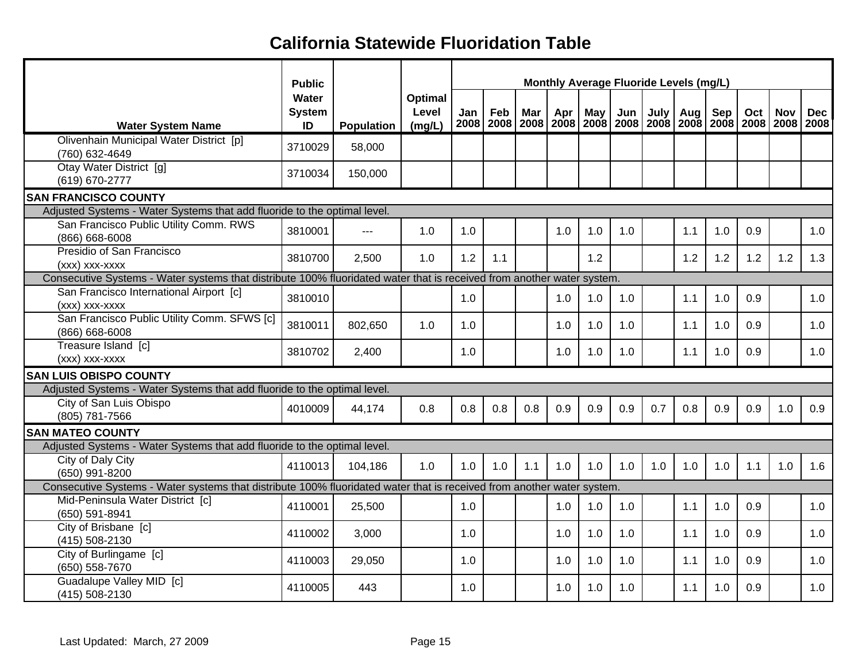|                                                                                                                        | <b>Public</b>                |                     |                            |             |     |     |     |     |     |      | Monthly Average Fluoride Levels (mg/L) |     |     |            |                                                                                          |
|------------------------------------------------------------------------------------------------------------------------|------------------------------|---------------------|----------------------------|-------------|-----|-----|-----|-----|-----|------|----------------------------------------|-----|-----|------------|------------------------------------------------------------------------------------------|
| <b>Water System Name</b>                                                                                               | Water<br><b>System</b><br>ID | Population          | Optimal<br>Level<br>(mg/L) | Jan<br>2008 | Feb | Mar | Apr | May | Jun | July | Aug                                    | Sep | Oct | <b>Nov</b> | <b>Dec</b><br>2008   2008   2008   2008   2008   2008   2008   2008   2008   2008   2008 |
| Olivenhain Municipal Water District [p]<br>(760) 632-4649                                                              | 3710029                      | 58,000              |                            |             |     |     |     |     |     |      |                                        |     |     |            |                                                                                          |
| Otay Water District [g]<br>(619) 670-2777                                                                              | 3710034                      | 150,000             |                            |             |     |     |     |     |     |      |                                        |     |     |            |                                                                                          |
| <b>SAN FRANCISCO COUNTY</b>                                                                                            |                              |                     |                            |             |     |     |     |     |     |      |                                        |     |     |            |                                                                                          |
| Adjusted Systems - Water Systems that add fluoride to the optimal level.                                               |                              |                     |                            |             |     |     |     |     |     |      |                                        |     |     |            |                                                                                          |
| San Francisco Public Utility Comm. RWS<br>(866) 668-6008                                                               | 3810001                      | $\qquad \qquad - -$ | 1.0                        | 1.0         |     |     | 1.0 | 1.0 | 1.0 |      | 1.1                                    | 1.0 | 0.9 |            | 1.0                                                                                      |
| Presidio of San Francisco<br>(xxx) xxx-xxxx                                                                            | 3810700                      | 2.500               | 1.0                        | 1.2         | 1.1 |     |     | 1.2 |     |      | 1.2                                    | 1.2 | 1.2 | 1.2        | 1.3                                                                                      |
| Consecutive Systems - Water systems that distribute 100% fluoridated water that is received from another water system. |                              |                     |                            |             |     |     |     |     |     |      |                                        |     |     |            |                                                                                          |
| San Francisco International Airport [c]<br>(xxx) xxx-xxxx                                                              | 3810010                      |                     |                            | 1.0         |     |     | 1.0 | 1.0 | 1.0 |      | 1.1                                    | 1.0 | 0.9 |            | 1.0                                                                                      |
| San Francisco Public Utility Comm. SFWS [c]<br>(866) 668-6008                                                          | 3810011                      | 802,650             | 1.0                        | 1.0         |     |     | 1.0 | 1.0 | 1.0 |      | 1.1                                    | 1.0 | 0.9 |            | 1.0                                                                                      |
| Treasure Island [c]<br>(xxx) xxx-xxxx                                                                                  | 3810702                      | 2,400               |                            | 1.0         |     |     | 1.0 | 1.0 | 1.0 |      | 1.1                                    | 1.0 | 0.9 |            | 1.0                                                                                      |
| <b>SAN LUIS OBISPO COUNTY</b>                                                                                          |                              |                     |                            |             |     |     |     |     |     |      |                                        |     |     |            |                                                                                          |
| Adjusted Systems - Water Systems that add fluoride to the optimal level.                                               |                              |                     |                            |             |     |     |     |     |     |      |                                        |     |     |            |                                                                                          |
| City of San Luis Obispo<br>(805) 781-7566                                                                              | 4010009                      | 44,174              | 0.8                        | 0.8         | 0.8 | 0.8 | 0.9 | 0.9 | 0.9 | 0.7  | 0.8                                    | 0.9 | 0.9 | 1.0        | 0.9                                                                                      |
| <b>SAN MATEO COUNTY</b>                                                                                                |                              |                     |                            |             |     |     |     |     |     |      |                                        |     |     |            |                                                                                          |
| Adjusted Systems - Water Systems that add fluoride to the optimal level.                                               |                              |                     |                            |             |     |     |     |     |     |      |                                        |     |     |            |                                                                                          |
| City of Daly City<br>(650) 991-8200                                                                                    | 4110013                      | 104,186             | 1.0                        | 1.0         | 1.0 | 1.1 | 1.0 | 1.0 | 1.0 | 1.0  | 1.0                                    | 1.0 | 1.1 | 1.0        | 1.6                                                                                      |
| Consecutive Systems - Water systems that distribute 100% fluoridated water that is received from another water system. |                              |                     |                            |             |     |     |     |     |     |      |                                        |     |     |            |                                                                                          |
| Mid-Peninsula Water District [c]<br>(650) 591-8941                                                                     | 4110001                      | 25,500              |                            | 1.0         |     |     | 1.0 | 1.0 | 1.0 |      | 1.1                                    | 1.0 | 0.9 |            | 1.0                                                                                      |
| City of Brisbane [c]<br>(415) 508-2130                                                                                 | 4110002                      | 3,000               |                            | 1.0         |     |     | 1.0 | 1.0 | 1.0 |      | 1.1                                    | 1.0 | 0.9 |            | 1.0                                                                                      |
| City of Burlingame [c]<br>(650) 558-7670                                                                               | 4110003                      | 29,050              |                            | 1.0         |     |     | 1.0 | 1.0 | 1.0 |      | 1.1                                    | 1.0 | 0.9 |            | 1.0                                                                                      |
| Guadalupe Valley MID [c]<br>(415) 508-2130                                                                             | 4110005                      | 443                 |                            | 1.0         |     |     | 1.0 | 1.0 | 1.0 |      | 1.1                                    | 1.0 | 0.9 |            | 1.0                                                                                      |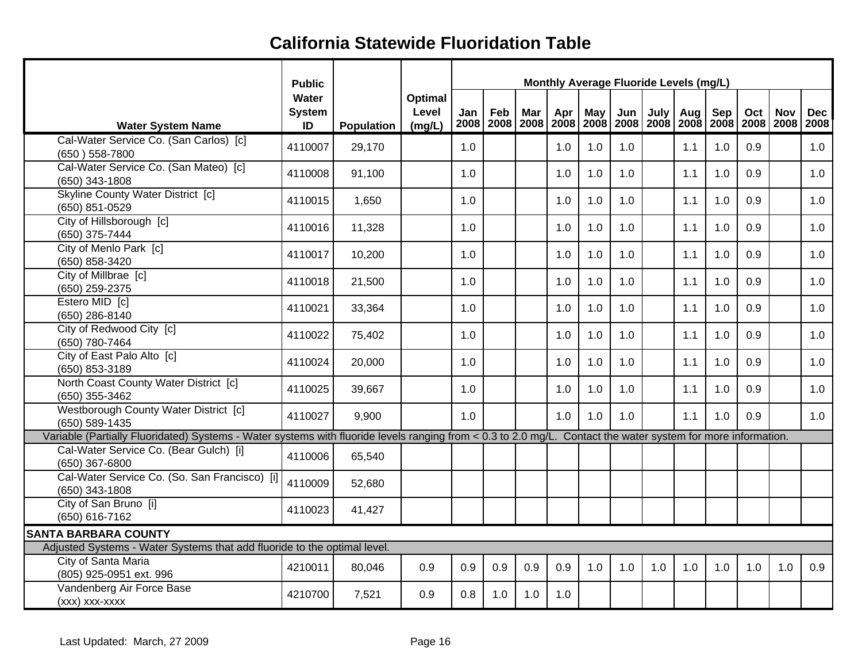|                                                                                                                                                              | <b>Public</b>                |            |                                   |     |     |     |     |            |     | Monthly Average Fluoride Levels (mg/L) |     |     |                                                                                          |            |            |
|--------------------------------------------------------------------------------------------------------------------------------------------------------------|------------------------------|------------|-----------------------------------|-----|-----|-----|-----|------------|-----|----------------------------------------|-----|-----|------------------------------------------------------------------------------------------|------------|------------|
| <b>Water System Name</b>                                                                                                                                     | Water<br><b>System</b><br>ID | Population | <b>Optimal</b><br>Level<br>(mg/L) | Jan | Feb | Mar | Apr | <b>May</b> | Jun | July                                   | Aug | Sep | Oct<br>2008   2008   2008   2008   2008   2008   2008   2008   2008   2008   2008   2008 | <b>Nov</b> | <b>Dec</b> |
| Cal-Water Service Co. (San Carlos) [c]<br>(650) 558-7800                                                                                                     | 4110007                      | 29,170     |                                   | 1.0 |     |     | 1.0 | 1.0        | 1.0 |                                        | 1.1 | 1.0 | 0.9                                                                                      |            | 1.0        |
| Cal-Water Service Co. (San Mateo) [c]<br>(650) 343-1808                                                                                                      | 4110008                      | 91,100     |                                   | 1.0 |     |     | 1.0 | 1.0        | 1.0 |                                        | 1.1 | 1.0 | 0.9                                                                                      |            | 1.0        |
| <b>Skyline County Water District [c]</b><br>(650) 851-0529                                                                                                   | 4110015                      | 1,650      |                                   | 1.0 |     |     | 1.0 | 1.0        | 1.0 |                                        | 1.1 | 1.0 | 0.9                                                                                      |            | 1.0        |
| City of Hillsborough [c]<br>(650) 375-7444                                                                                                                   | 4110016                      | 11,328     |                                   | 1.0 |     |     | 1.0 | 1.0        | 1.0 |                                        | 1.1 | 1.0 | 0.9                                                                                      |            | 1.0        |
| City of Menlo Park [c]<br>(650) 858-3420                                                                                                                     | 4110017                      | 10,200     |                                   | 1.0 |     |     | 1.0 | 1.0        | 1.0 |                                        | 1.1 | 1.0 | 0.9                                                                                      |            | 1.0        |
| City of Millbrae [c]<br>(650) 259-2375                                                                                                                       | 4110018                      | 21,500     |                                   | 1.0 |     |     | 1.0 | 1.0        | 1.0 |                                        | 1.1 | 1.0 | 0.9                                                                                      |            | 1.0        |
| Estero MID [c]<br>(650) 286-8140                                                                                                                             | 4110021                      | 33,364     |                                   | 1.0 |     |     | 1.0 | 1.0        | 1.0 |                                        | 1.1 | 1.0 | 0.9                                                                                      |            | 1.0        |
| City of Redwood City [c]<br>(650) 780-7464                                                                                                                   | 4110022                      | 75,402     |                                   | 1.0 |     |     | 1.0 | 1.0        | 1.0 |                                        | 1.1 | 1.0 | 0.9                                                                                      |            | 1.0        |
| City of East Palo Alto [c]<br>(650) 853-3189                                                                                                                 | 4110024                      | 20,000     |                                   | 1.0 |     |     | 1.0 | 1.0        | 1.0 |                                        | 1.1 | 1.0 | 0.9                                                                                      |            | 1.0        |
| North Coast County Water District [c]<br>(650) 355-3462                                                                                                      | 4110025                      | 39,667     |                                   | 1.0 |     |     | 1.0 | 1.0        | 1.0 |                                        | 1.1 | 1.0 | 0.9                                                                                      |            | 1.0        |
| Westborough County Water District [c]<br>(650) 589-1435                                                                                                      | 4110027                      | 9,900      |                                   | 1.0 |     |     | 1.0 | 1.0        | 1.0 |                                        | 1.1 | 1.0 | 0.9                                                                                      |            | 1.0        |
| Variable (Partially Fluoridated) Systems - Water systems with fluoride levels ranging from < 0.3 to 2.0 mg/L. Contact the water system for more information. |                              |            |                                   |     |     |     |     |            |     |                                        |     |     |                                                                                          |            |            |
| Cal-Water Service Co. (Bear Gulch) [i]<br>(650) 367-6800                                                                                                     | 4110006                      | 65,540     |                                   |     |     |     |     |            |     |                                        |     |     |                                                                                          |            |            |
| Cal-Water Service Co. (So. San Francisco) [i]<br>(650) 343-1808                                                                                              | 4110009                      | 52,680     |                                   |     |     |     |     |            |     |                                        |     |     |                                                                                          |            |            |
| City of San Bruno [i]<br>(650) 616-7162                                                                                                                      | 4110023                      | 41,427     |                                   |     |     |     |     |            |     |                                        |     |     |                                                                                          |            |            |
| <b>SANTA BARBARA COUNTY</b>                                                                                                                                  |                              |            |                                   |     |     |     |     |            |     |                                        |     |     |                                                                                          |            |            |
| Adjusted Systems - Water Systems that add fluoride to the optimal level.                                                                                     |                              |            |                                   |     |     |     |     |            |     |                                        |     |     |                                                                                          |            |            |
| City of Santa Maria                                                                                                                                          |                              |            |                                   |     |     |     |     |            |     |                                        |     |     |                                                                                          |            |            |
| (805) 925-0951 ext. 996                                                                                                                                      | 4210011                      | 80,046     | 0.9                               | 0.9 | 0.9 | 0.9 | 0.9 | 1.0        | 1.0 | 1.0                                    | 1.0 | 1.0 | 1.0                                                                                      | 1.0        | 0.9        |
| Vandenberg Air Force Base<br>(xxx) xxx-xxxx                                                                                                                  | 4210700                      | 7,521      | 0.9                               | 0.8 | 1.0 | 1.0 | 1.0 |            |     |                                        |     |     |                                                                                          |            |            |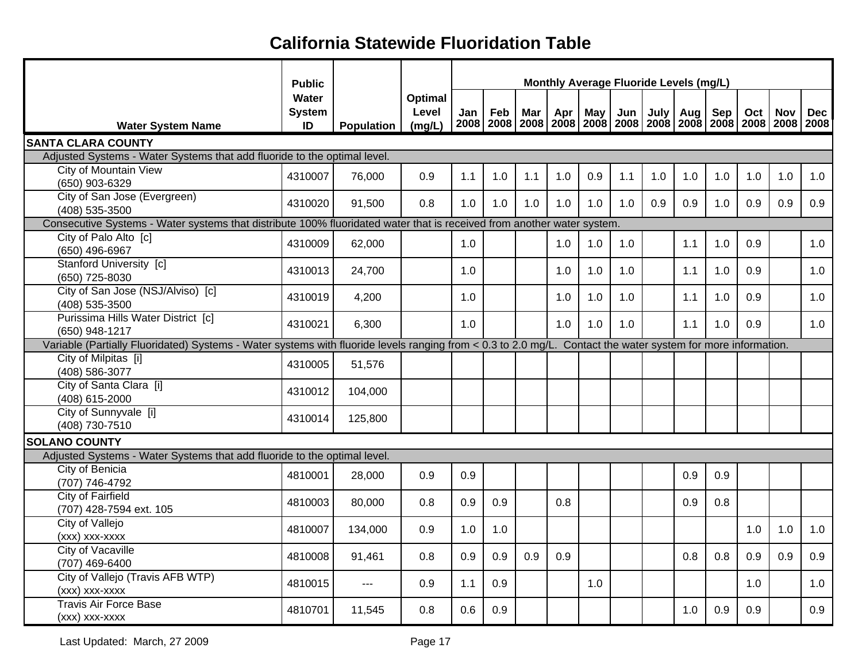|                                                                                                                                                              | <b>Public</b>                |            |                            |     |     |     |     |     | Monthly Average Fluoride Levels (mg/L)                                                   |             |     |     |     |            |            |
|--------------------------------------------------------------------------------------------------------------------------------------------------------------|------------------------------|------------|----------------------------|-----|-----|-----|-----|-----|------------------------------------------------------------------------------------------|-------------|-----|-----|-----|------------|------------|
| <b>Water System Name</b>                                                                                                                                     | Water<br><b>System</b><br>ID | Population | Optimal<br>Level<br>(mg/L) | Jan | Feb | Mar | Apr | May | Jun<br>2008   2008   2008   2008   2008   2008   2008   2008   2008   2008   2008   2008 | <b>July</b> | Aug | Sep | Oct | <b>Nov</b> | <b>Dec</b> |
| <b>SANTA CLARA COUNTY</b>                                                                                                                                    |                              |            |                            |     |     |     |     |     |                                                                                          |             |     |     |     |            |            |
| Adjusted Systems - Water Systems that add fluoride to the optimal level.                                                                                     |                              |            |                            |     |     |     |     |     |                                                                                          |             |     |     |     |            |            |
| <b>City of Mountain View</b><br>(650) 903-6329                                                                                                               | 4310007                      | 76,000     | 0.9                        | 1.1 | 1.0 | 1.1 | 1.0 | 0.9 | 1.1                                                                                      | 1.0         | 1.0 | 1.0 | 1.0 | 1.0        | 1.0        |
| City of San Jose (Evergreen)<br>(408) 535-3500                                                                                                               | 4310020                      | 91,500     | 0.8                        | 1.0 | 1.0 | 1.0 | 1.0 | 1.0 | 1.0                                                                                      | 0.9         | 0.9 | 1.0 | 0.9 | 0.9        | 0.9        |
| Consecutive Systems - Water systems that distribute 100% fluoridated water that is received from another water system.                                       |                              |            |                            |     |     |     |     |     |                                                                                          |             |     |     |     |            |            |
| City of Palo Alto [c]<br>(650) 496-6967                                                                                                                      | 4310009                      | 62,000     |                            | 1.0 |     |     | 1.0 | 1.0 | 1.0                                                                                      |             | 1.1 | 1.0 | 0.9 |            | 1.0        |
| Stanford University [c]<br>(650) 725-8030                                                                                                                    | 4310013                      | 24,700     |                            | 1.0 |     |     | 1.0 | 1.0 | 1.0                                                                                      |             | 1.1 | 1.0 | 0.9 |            | 1.0        |
| City of San Jose (NSJ/Alviso) [c]<br>(408) 535-3500                                                                                                          | 4310019                      | 4,200      |                            | 1.0 |     |     | 1.0 | 1.0 | 1.0                                                                                      |             | 1.1 | 1.0 | 0.9 |            | 1.0        |
| Purissima Hills Water District [c]<br>(650) 948-1217                                                                                                         | 4310021                      | 6,300      |                            | 1.0 |     |     | 1.0 | 1.0 | 1.0                                                                                      |             | 1.1 | 1.0 | 0.9 |            | 1.0        |
| Variable (Partially Fluoridated) Systems - Water systems with fluoride levels ranging from < 0.3 to 2.0 mg/L. Contact the water system for more information. |                              |            |                            |     |     |     |     |     |                                                                                          |             |     |     |     |            |            |
| City of Milpitas [i]<br>(408) 586-3077                                                                                                                       | 4310005                      | 51,576     |                            |     |     |     |     |     |                                                                                          |             |     |     |     |            |            |
| City of Santa Clara [i]<br>(408) 615-2000                                                                                                                    | 4310012                      | 104,000    |                            |     |     |     |     |     |                                                                                          |             |     |     |     |            |            |
| City of Sunnyvale [i]<br>(408) 730-7510                                                                                                                      | 4310014                      | 125,800    |                            |     |     |     |     |     |                                                                                          |             |     |     |     |            |            |
| <b>SOLANO COUNTY</b>                                                                                                                                         |                              |            |                            |     |     |     |     |     |                                                                                          |             |     |     |     |            |            |
| Adjusted Systems - Water Systems that add fluoride to the optimal level.                                                                                     |                              |            |                            |     |     |     |     |     |                                                                                          |             |     |     |     |            |            |
| City of Benicia<br>(707) 746-4792                                                                                                                            | 4810001                      | 28,000     | 0.9                        | 0.9 |     |     |     |     |                                                                                          |             | 0.9 | 0.9 |     |            |            |
| <b>City of Fairfield</b><br>(707) 428-7594 ext. 105                                                                                                          | 4810003                      | 80,000     | 0.8                        | 0.9 | 0.9 |     | 0.8 |     |                                                                                          |             | 0.9 | 0.8 |     |            |            |
| <b>City of Vallejo</b><br>(xxx) xxx-xxxx                                                                                                                     | 4810007                      | 134,000    | 0.9                        | 1.0 | 1.0 |     |     |     |                                                                                          |             |     |     | 1.0 | 1.0        | 1.0        |
| <b>City of Vacaville</b><br>(707) 469-6400                                                                                                                   | 4810008                      | 91,461     | 0.8                        | 0.9 | 0.9 | 0.9 | 0.9 |     |                                                                                          |             | 0.8 | 0.8 | 0.9 | 0.9        | 0.9        |
| City of Vallejo (Travis AFB WTP)<br>(xxx) xxx-xxxx                                                                                                           | 4810015                      | ---        | 0.9                        | 1.1 | 0.9 |     |     | 1.0 |                                                                                          |             |     |     | 1.0 |            | 1.0        |
| <b>Travis Air Force Base</b><br>(xxx) xxx-xxxx                                                                                                               | 4810701                      | 11,545     | 0.8                        | 0.6 | 0.9 |     |     |     |                                                                                          |             | 1.0 | 0.9 | 0.9 |            | 0.9        |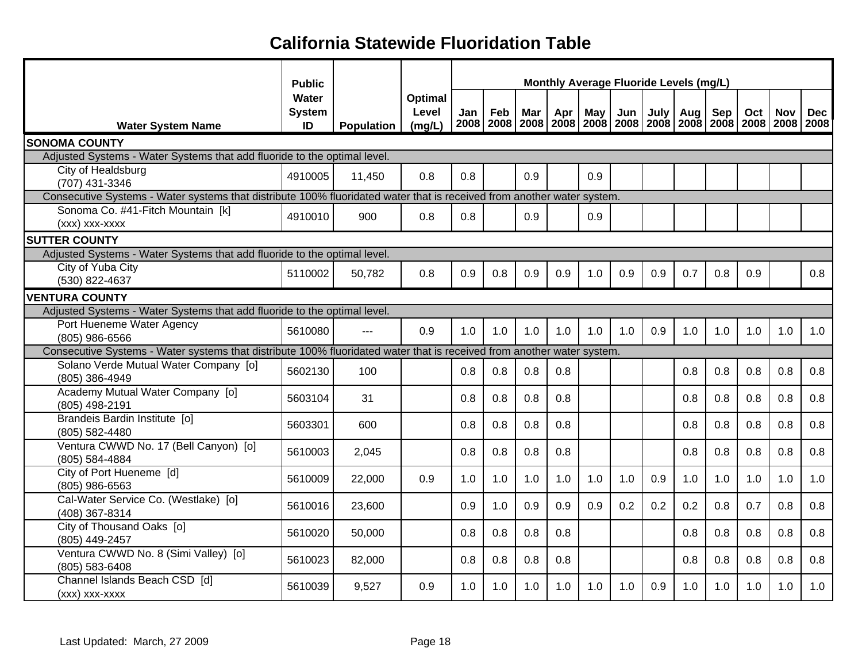|                                                                                                                        | <b>Public</b>                |                   |                            |     |     |     |     |     |     | Monthly Average Fluoride Levels (mg/L)                                                      |     |     |     |            |            |
|------------------------------------------------------------------------------------------------------------------------|------------------------------|-------------------|----------------------------|-----|-----|-----|-----|-----|-----|---------------------------------------------------------------------------------------------|-----|-----|-----|------------|------------|
| <b>Water System Name</b>                                                                                               | Water<br><b>System</b><br>ID | <b>Population</b> | Optimal<br>Level<br>(mg/L) | Jan | Feb | Mar | Apr | May | Jun | July  <br>2008   2008   2008   2008   2008   2008   2008   2008   2008   2008   2008   2008 | Aug | Sep | Oct | <b>Nov</b> | <b>Dec</b> |
| <b>SONOMA COUNTY</b>                                                                                                   |                              |                   |                            |     |     |     |     |     |     |                                                                                             |     |     |     |            |            |
| Adjusted Systems - Water Systems that add fluoride to the optimal level.                                               |                              |                   |                            |     |     |     |     |     |     |                                                                                             |     |     |     |            |            |
| City of Healdsburg<br>(707) 431-3346                                                                                   | 4910005                      | 11,450            | 0.8                        | 0.8 |     | 0.9 |     | 0.9 |     |                                                                                             |     |     |     |            |            |
| Consecutive Systems - Water systems that distribute 100% fluoridated water that is received from another water system. |                              |                   |                            |     |     |     |     |     |     |                                                                                             |     |     |     |            |            |
| Sonoma Co. #41-Fitch Mountain [k]<br>(xxx) xxx-xxxx                                                                    | 4910010                      | 900               | 0.8                        | 0.8 |     | 0.9 |     | 0.9 |     |                                                                                             |     |     |     |            |            |
| <b>SUTTER COUNTY</b>                                                                                                   |                              |                   |                            |     |     |     |     |     |     |                                                                                             |     |     |     |            |            |
| Adjusted Systems - Water Systems that add fluoride to the optimal level.                                               |                              |                   |                            |     |     |     |     |     |     |                                                                                             |     |     |     |            |            |
| City of Yuba City<br>(530) 822-4637                                                                                    | 5110002                      | 50,782            | 0.8                        | 0.9 | 0.8 | 0.9 | 0.9 | 1.0 | 0.9 | 0.9                                                                                         | 0.7 | 0.8 | 0.9 |            | 0.8        |
| <b>VENTURA COUNTY</b>                                                                                                  |                              |                   |                            |     |     |     |     |     |     |                                                                                             |     |     |     |            |            |
| Adjusted Systems - Water Systems that add fluoride to the optimal level.                                               |                              |                   |                            |     |     |     |     |     |     |                                                                                             |     |     |     |            |            |
| Port Hueneme Water Agency<br>(805) 986-6566                                                                            | 5610080                      | $---$             | 0.9                        | 1.0 | 1.0 | 1.0 | 1.0 | 1.0 | 1.0 | 0.9                                                                                         | 1.0 | 1.0 | 1.0 | 1.0        | 1.0        |
| Consecutive Systems - Water systems that distribute 100% fluoridated water that is received from another water system. |                              |                   |                            |     |     |     |     |     |     |                                                                                             |     |     |     |            |            |
| Solano Verde Mutual Water Company [o]<br>(805) 386-4949                                                                | 5602130                      | 100               |                            | 0.8 | 0.8 | 0.8 | 0.8 |     |     |                                                                                             | 0.8 | 0.8 | 0.8 | 0.8        | 0.8        |
| Academy Mutual Water Company [o]<br>(805) 498-2191                                                                     | 5603104                      | 31                |                            | 0.8 | 0.8 | 0.8 | 0.8 |     |     |                                                                                             | 0.8 | 0.8 | 0.8 | 0.8        | 0.8        |
| Brandeis Bardin Institute [0]<br>(805) 582-4480                                                                        | 5603301                      | 600               |                            | 0.8 | 0.8 | 0.8 | 0.8 |     |     |                                                                                             | 0.8 | 0.8 | 0.8 | 0.8        | 0.8        |
| Ventura CWWD No. 17 (Bell Canyon) [o]<br>(805) 584-4884                                                                | 5610003                      | 2,045             |                            | 0.8 | 0.8 | 0.8 | 0.8 |     |     |                                                                                             | 0.8 | 0.8 | 0.8 | 0.8        | 0.8        |
| City of Port Hueneme [d]<br>(805) 986-6563                                                                             | 5610009                      | 22,000            | 0.9                        | 1.0 | 1.0 | 1.0 | 1.0 | 1.0 | 1.0 | 0.9                                                                                         | 1.0 | 1.0 | 1.0 | 1.0        | 1.0        |
| Cal-Water Service Co. (Westlake) [0]<br>(408) 367-8314                                                                 | 5610016                      | 23,600            |                            | 0.9 | 1.0 | 0.9 | 0.9 | 0.9 | 0.2 | 0.2                                                                                         | 0.2 | 0.8 | 0.7 | 0.8        | 0.8        |
| City of Thousand Oaks [0]<br>(805) 449-2457                                                                            | 5610020                      | 50,000            |                            | 0.8 | 0.8 | 0.8 | 0.8 |     |     |                                                                                             | 0.8 | 0.8 | 0.8 | 0.8        | 0.8        |
| Ventura CWWD No. 8 (Simi Valley) [o]<br>(805) 583-6408                                                                 | 5610023                      | 82,000            |                            | 0.8 | 0.8 | 0.8 | 0.8 |     |     |                                                                                             | 0.8 | 0.8 | 0.8 | 0.8        | 0.8        |
| Channel Islands Beach CSD [d]<br>(xxx) xxx-xxxx                                                                        | 5610039                      | 9,527             | 0.9                        | 1.0 | 1.0 | 1.0 | 1.0 | 1.0 | 1.0 | 0.9                                                                                         | 1.0 | 1.0 | 1.0 | 1.0        | 1.0        |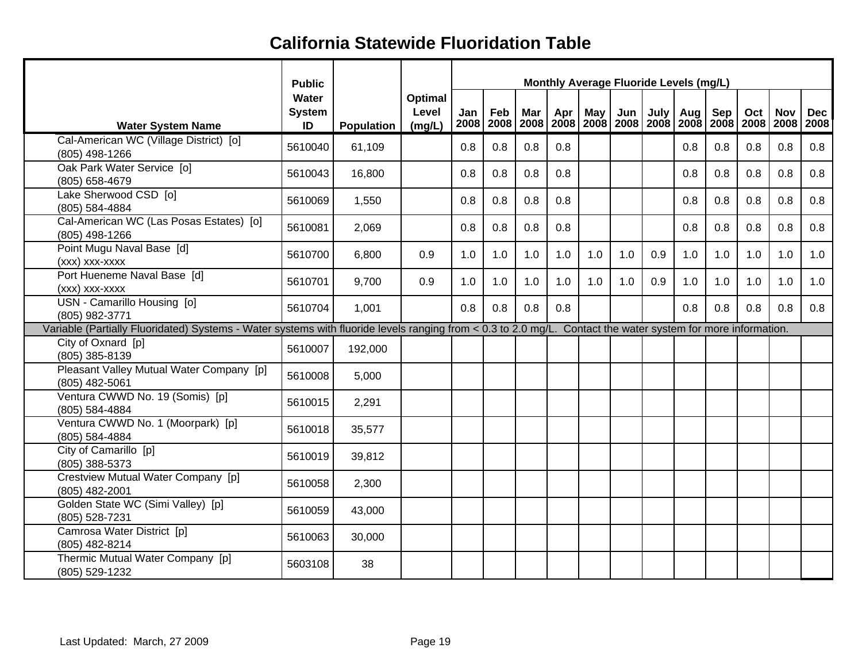|                                                                                                                                                              | <b>Public</b>                |            |                            |             |     |     |     | Monthly Average Fluoride Levels (mg/L) |     |     |            |     |     |            |                                                                                          |
|--------------------------------------------------------------------------------------------------------------------------------------------------------------|------------------------------|------------|----------------------------|-------------|-----|-----|-----|----------------------------------------|-----|-----|------------|-----|-----|------------|------------------------------------------------------------------------------------------|
| <b>Water System Name</b>                                                                                                                                     | Water<br><b>System</b><br>ID | Population | Optimal<br>Level<br>(mg/L) | Jan<br>2008 | Feb | Mar | Apr | May                                    | Jun |     | July   Aug | Sep | Oct | <b>Nov</b> | <b>Dec</b><br>2008   2008   2008   2008   2008   2008   2008   2008   2008   2008   2008 |
| Cal-American WC (Village District) [o]<br>(805) 498-1266                                                                                                     | 5610040                      | 61,109     |                            | 0.8         | 0.8 | 0.8 | 0.8 |                                        |     |     | 0.8        | 0.8 | 0.8 | 0.8        | 0.8                                                                                      |
| Oak Park Water Service [0]<br>(805) 658-4679                                                                                                                 | 5610043                      | 16,800     |                            | 0.8         | 0.8 | 0.8 | 0.8 |                                        |     |     | 0.8        | 0.8 | 0.8 | 0.8        | 0.8                                                                                      |
| Lake Sherwood CSD [0]<br>(805) 584-4884                                                                                                                      | 5610069                      | 1,550      |                            | 0.8         | 0.8 | 0.8 | 0.8 |                                        |     |     | 0.8        | 0.8 | 0.8 | 0.8        | 0.8                                                                                      |
| Cal-American WC (Las Posas Estates) [0]<br>(805) 498-1266                                                                                                    | 5610081                      | 2,069      |                            | 0.8         | 0.8 | 0.8 | 0.8 |                                        |     |     | 0.8        | 0.8 | 0.8 | 0.8        | 0.8                                                                                      |
| Point Mugu Naval Base [d]<br>(xxx) xxx-xxxx                                                                                                                  | 5610700                      | 6,800      | 0.9                        | 1.0         | 1.0 | 1.0 | 1.0 | 1.0                                    | 1.0 | 0.9 | 1.0        | 1.0 | 1.0 | 1.0        | 1.0                                                                                      |
| Port Hueneme Naval Base [d]<br>(xxx) xxx-xxxx                                                                                                                | 5610701                      | 9,700      | 0.9                        | 1.0         | 1.0 | 1.0 | 1.0 | 1.0                                    | 1.0 | 0.9 | 1.0        | 1.0 | 1.0 | 1.0        | 1.0                                                                                      |
| USN - Camarillo Housing [0]<br>(805) 982-3771                                                                                                                | 5610704                      | 1,001      |                            | 0.8         | 0.8 | 0.8 | 0.8 |                                        |     |     | 0.8        | 0.8 | 0.8 | 0.8        | 0.8                                                                                      |
| Variable (Partially Fluoridated) Systems - Water systems with fluoride levels ranging from < 0.3 to 2.0 mg/L. Contact the water system for more information. |                              |            |                            |             |     |     |     |                                        |     |     |            |     |     |            |                                                                                          |
| City of Oxnard [p]<br>(805) 385-8139                                                                                                                         | 5610007                      | 192,000    |                            |             |     |     |     |                                        |     |     |            |     |     |            |                                                                                          |
| Pleasant Valley Mutual Water Company [p]<br>(805) 482-5061                                                                                                   | 5610008                      | 5,000      |                            |             |     |     |     |                                        |     |     |            |     |     |            |                                                                                          |
| Ventura CWWD No. 19 (Somis) [p]<br>(805) 584-4884                                                                                                            | 5610015                      | 2,291      |                            |             |     |     |     |                                        |     |     |            |     |     |            |                                                                                          |
| Ventura CWWD No. 1 (Moorpark) [p]<br>(805) 584-4884                                                                                                          | 5610018                      | 35,577     |                            |             |     |     |     |                                        |     |     |            |     |     |            |                                                                                          |
| City of Camarillo [p]<br>(805) 388-5373                                                                                                                      | 5610019                      | 39,812     |                            |             |     |     |     |                                        |     |     |            |     |     |            |                                                                                          |
| Crestview Mutual Water Company [p]<br>(805) 482-2001                                                                                                         | 5610058                      | 2,300      |                            |             |     |     |     |                                        |     |     |            |     |     |            |                                                                                          |
| Golden State WC (Simi Valley) [p]<br>(805) 528-7231                                                                                                          | 5610059                      | 43,000     |                            |             |     |     |     |                                        |     |     |            |     |     |            |                                                                                          |
| Camrosa Water District [p]<br>(805) 482-8214                                                                                                                 | 5610063                      | 30,000     |                            |             |     |     |     |                                        |     |     |            |     |     |            |                                                                                          |
| Thermic Mutual Water Company [p]<br>(805) 529-1232                                                                                                           | 5603108                      | 38         |                            |             |     |     |     |                                        |     |     |            |     |     |            |                                                                                          |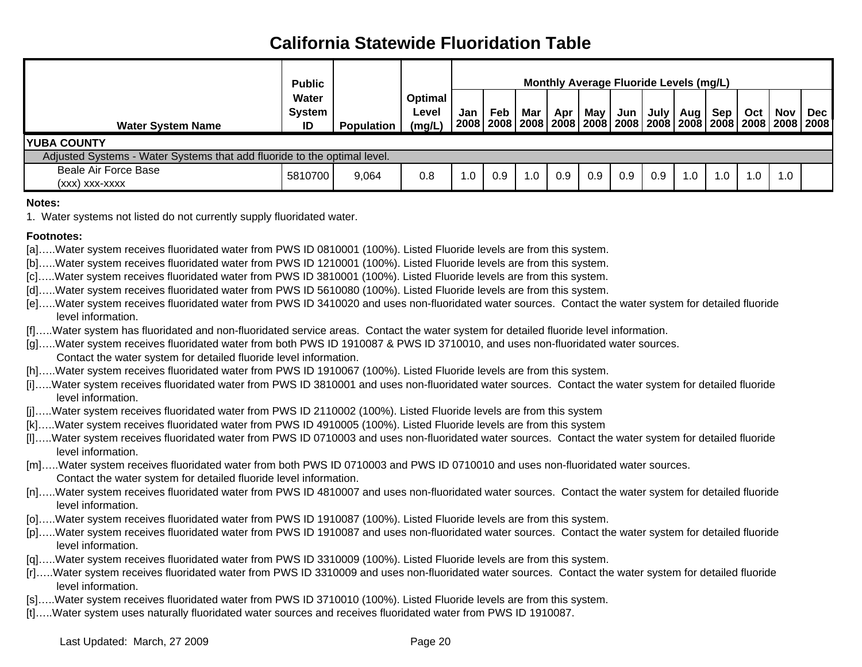|                                                                          | <b>Public</b>                |            |                                   |     |     |     |     |     | Monthly Average Fluoride Levels (mg/L) |      |     |     |                                                                                          |     |     |
|--------------------------------------------------------------------------|------------------------------|------------|-----------------------------------|-----|-----|-----|-----|-----|----------------------------------------|------|-----|-----|------------------------------------------------------------------------------------------|-----|-----|
| <b>Water System Name</b>                                                 | Water<br><b>System</b><br>ID | Population | <b>Optimal</b><br>Level<br>(mg/L) | Jan | Feb | Mar | Apr | May | Jun                                    | July | Aug | Sep | Oct<br>2008   2008   2008   2008   2008   2008   2008   2008   2008   2008   2008   2008 | Nov | Dec |
| <b>YUBA COUNTY</b>                                                       |                              |            |                                   |     |     |     |     |     |                                        |      |     |     |                                                                                          |     |     |
| Adjusted Systems - Water Systems that add fluoride to the optimal level. |                              |            |                                   |     |     |     |     |     |                                        |      |     |     |                                                                                          |     |     |
| Beale Air Force Base<br>(XXX) XXX-XXXX                                   | 5810700                      | 9,064      | 0.8                               | 0.1 | 0.9 | .0  | 0.9 | 0.9 | 0.9                                    | 0.9  | 1.0 | 1.0 | 1.C                                                                                      | 1.0 |     |

**Notes:**

1. Water systems not listed do not currently supply fluoridated water.

#### **Footnotes:**

- [a]…..Water system receives fluoridated water from PWS ID 0810001 (100%). Listed Fluoride levels are from this system.
- [b]…..Water system receives fluoridated water from PWS ID 1210001 (100%). Listed Fluoride levels are from this system.
- [c]…..Water system receives fluoridated water from PWS ID 3810001 (100%). Listed Fluoride levels are from this system.
- [d].....Water system receives fluoridated water from PWS ID 5610080 (100%). Listed Fluoride levels are from this system.
- [e]…..Water system receives fluoridated water from PWS ID 3410020 and uses non-fluoridated water sources. Contact the water system for detailed fluoride level information.
- [f]…..Water system has fluoridated and non-fluoridated service areas. Contact the water system for detailed fluoride level information.
- [g]…..Water system receives fluoridated water from both PWS ID 1910087 & PWS ID 3710010, and uses non-fluoridated water sources. Contact the water system for detailed fluoride level information.
- [h].....Water system receives fluoridated water from PWS ID 1910067 (100%). Listed Fluoride levels are from this system.
- [i]…..Water system receives fluoridated water from PWS ID 3810001 and uses non-fluoridated water sources. Contact the water system for detailed fluoride level information.
- [j]…..Water system receives fluoridated water from PWS ID 2110002 (100%). Listed Fluoride levels are from this system
- [k]…..Water system receives fluoridated water from PWS ID 4910005 (100%). Listed Fluoride levels are from this system
- [l]…..Water system receives fluoridated water from PWS ID 0710003 and uses non-fluoridated water sources. Contact the water system for detailed fluoride level information.
- [m].....Water system receives fluoridated water from both PWS ID 0710003 and PWS ID 0710010 and uses non-fluoridated water sources. Contact the water system for detailed fluoride level information.
- [n]…..Water system receives fluoridated water from PWS ID 4810007 and uses non-fluoridated water sources. Contact the water system for detailed fluoride level information.
- [o]…..Water system receives fluoridated water from PWS ID 1910087 (100%). Listed Fluoride levels are from this system.
- [p]…..Water system receives fluoridated water from PWS ID 1910087 and uses non-fluoridated water sources. Contact the water system for detailed fluoride level information.
- [q]…..Water system receives fluoridated water from PWS ID 3310009 (100%). Listed Fluoride levels are from this system.
- [r]…..Water system receives fluoridated water from PWS ID 3310009 and uses non-fluoridated water sources. Contact the water system for detailed fluoride level information.
- [s].....Water system receives fluoridated water from PWS ID 3710010 (100%). Listed Fluoride levels are from this system.
- [t]…..Water system uses naturally fluoridated water sources and receives fluoridated water from PWS ID 1910087.